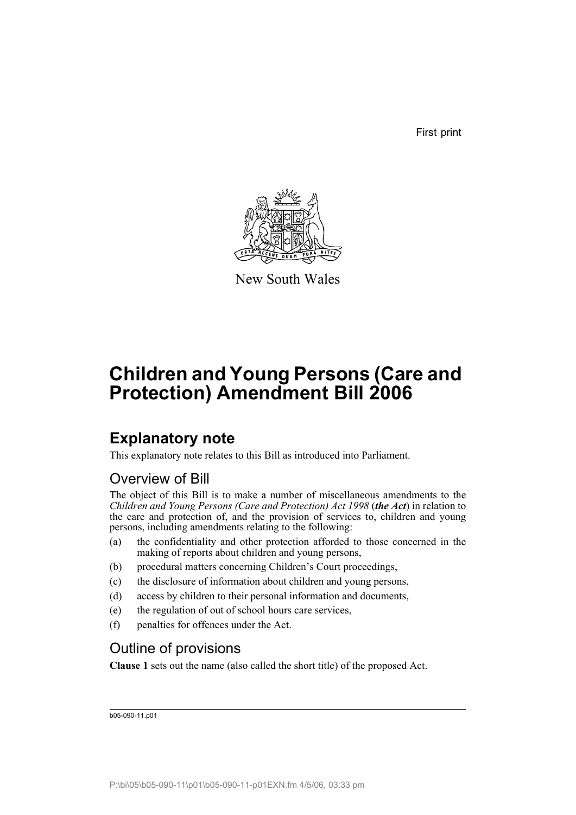First print



New South Wales

# **Children and Young Persons (Care and Protection) Amendment Bill 2006**

# **Explanatory note**

This explanatory note relates to this Bill as introduced into Parliament.

## Overview of Bill

The object of this Bill is to make a number of miscellaneous amendments to the *Children and Young Persons (Care and Protection) Act 1998* (*the Act*) in relation to the care and protection of, and the provision of services to, children and young persons, including amendments relating to the following:

- (a) the confidentiality and other protection afforded to those concerned in the making of reports about children and young persons,
- (b) procedural matters concerning Children's Court proceedings,
- (c) the disclosure of information about children and young persons,
- (d) access by children to their personal information and documents,
- (e) the regulation of out of school hours care services,
- (f) penalties for offences under the Act.

## Outline of provisions

**Clause 1** sets out the name (also called the short title) of the proposed Act.

b05-090-11.p01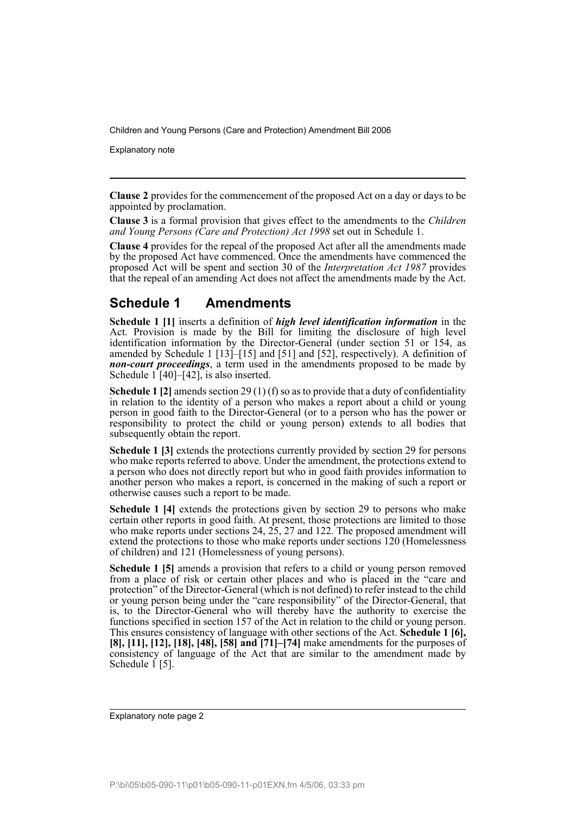Explanatory note

**Clause 2** provides for the commencement of the proposed Act on a day or days to be appointed by proclamation.

**Clause 3** is a formal provision that gives effect to the amendments to the *Children and Young Persons (Care and Protection) Act 1998* set out in Schedule 1.

**Clause 4** provides for the repeal of the proposed Act after all the amendments made by the proposed Act have commenced. Once the amendments have commenced the proposed Act will be spent and section 30 of the *Interpretation Act 1987* provides that the repeal of an amending Act does not affect the amendments made by the Act.

### **Schedule 1 Amendments**

**Schedule 1 [1]** inserts a definition of *high level identification information* in the Act. Provision is made by the Bill for limiting the disclosure of high level identification information by the Director-General (under section 51 or 154, as amended by Schedule 1 [13]–[15] and [51] and [52], respectively). A definition of *non-court proceedings*, a term used in the amendments proposed to be made by Schedule  $1\left[40\right]-\left[42\right]$ , is also inserted.

**Schedule 1 [2]** amends section 29 (1) (f) so as to provide that a duty of confidentiality in relation to the identity of a person who makes a report about a child or young person in good faith to the Director-General (or to a person who has the power or responsibility to protect the child or young person) extends to all bodies that subsequently obtain the report.

**Schedule 1 [3]** extends the protections currently provided by section 29 for persons who make reports referred to above. Under the amendment, the protections extend to a person who does not directly report but who in good faith provides information to another person who makes a report, is concerned in the making of such a report or otherwise causes such a report to be made.

**Schedule 1 [4]** extends the protections given by section 29 to persons who make certain other reports in good faith. At present, those protections are limited to those who make reports under sections 24, 25, 27 and 122. The proposed amendment will extend the protections to those who make reports under sections 120 (Homelessness of children) and 121 (Homelessness of young persons).

**Schedule 1 [5]** amends a provision that refers to a child or young person removed from a place of risk or certain other places and who is placed in the "care and protection" of the Director-General (which is not defined) to refer instead to the child or young person being under the "care responsibility" of the Director-General, that is, to the Director-General who will thereby have the authority to exercise the functions specified in section 157 of the Act in relation to the child or young person. This ensures consistency of language with other sections of the Act. **Schedule 1 [6], [8], [11], [12], [18], [48], [58] and [71]–[74]** make amendments for the purposes of consistency of language of the Act that are similar to the amendment made by Schedule  $1 \, 5$ ].

Explanatory note page 2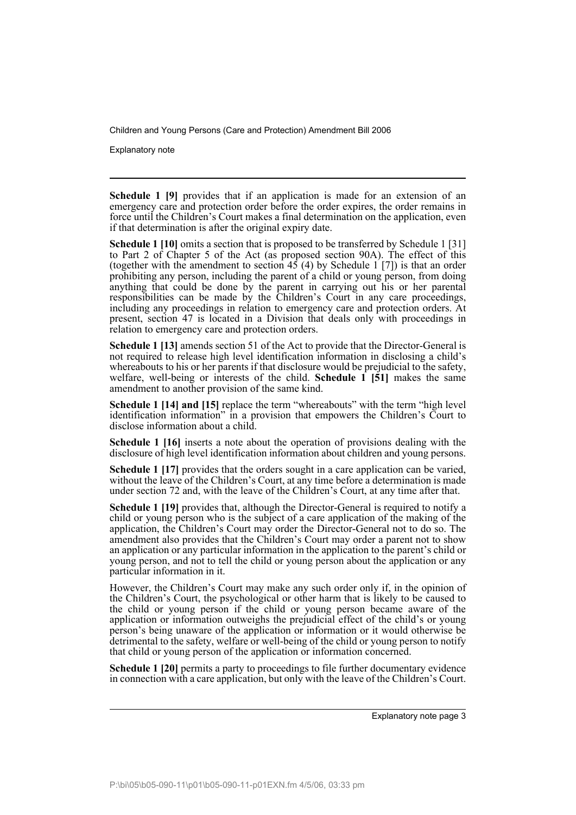Explanatory note

**Schedule 1 [9]** provides that if an application is made for an extension of an emergency care and protection order before the order expires, the order remains in force until the Children's Court makes a final determination on the application, even if that determination is after the original expiry date.

**Schedule 1 [10]** omits a section that is proposed to be transferred by Schedule 1 [31] to Part 2 of Chapter 5 of the Act (as proposed section 90A). The effect of this (together with the amendment to section  $4\overline{5}$  (4) by Schedule 1 [7]) is that an order prohibiting any person, including the parent of a child or young person, from doing anything that could be done by the parent in carrying out his or her parental responsibilities can be made by the Children's Court in any care proceedings, including any proceedings in relation to emergency care and protection orders. At present, section 47 is located in a Division that deals only with proceedings in relation to emergency care and protection orders.

**Schedule 1 [13]** amends section 51 of the Act to provide that the Director-General is not required to release high level identification information in disclosing a child's whereabouts to his or her parents if that disclosure would be prejudicial to the safety, welfare, well-being or interests of the child. **Schedule 1 [51]** makes the same amendment to another provision of the same kind.

**Schedule 1 [14] and [15]** replace the term "whereabouts" with the term "high level identification information" in a provision that empowers the Children's Court to disclose information about a child.

**Schedule 1 [16]** inserts a note about the operation of provisions dealing with the disclosure of high level identification information about children and young persons.

**Schedule 1 [17]** provides that the orders sought in a care application can be varied, without the leave of the Children's Court, at any time before a determination is made under section 72 and, with the leave of the Children's Court, at any time after that.

**Schedule 1 [19]** provides that, although the Director-General is required to notify a child or young person who is the subject of a care application of the making of the application, the Children's Court may order the Director-General not to do so. The amendment also provides that the Children's Court may order a parent not to show an application or any particular information in the application to the parent's child or young person, and not to tell the child or young person about the application or any particular information in it.

However, the Children's Court may make any such order only if, in the opinion of the Children's Court, the psychological or other harm that is likely to be caused to the child or young person if the child or young person became aware of the application or information outweighs the prejudicial effect of the child's or young person's being unaware of the application or information or it would otherwise be detrimental to the safety, welfare or well-being of the child or young person to notify that child or young person of the application or information concerned.

**Schedule 1 [20]** permits a party to proceedings to file further documentary evidence in connection with a care application, but only with the leave of the Children's Court.

Explanatory note page 3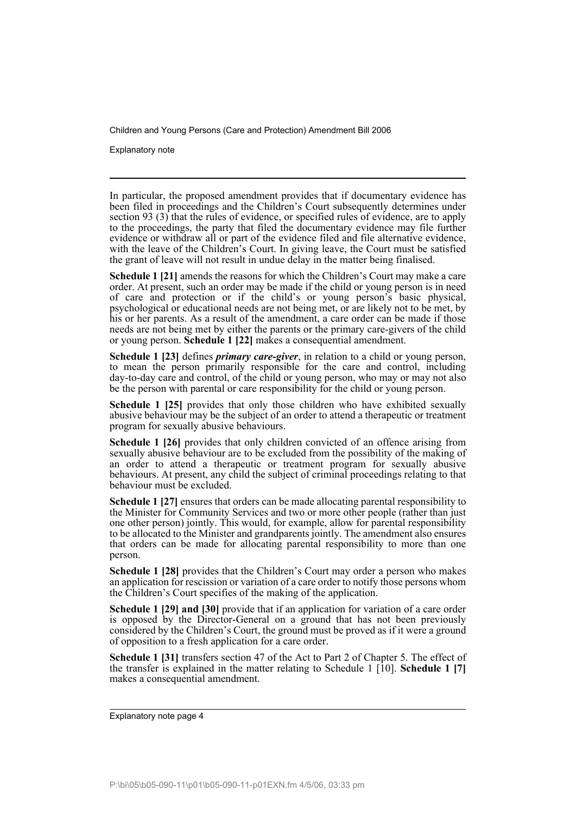Explanatory note

In particular, the proposed amendment provides that if documentary evidence has been filed in proceedings and the Children's Court subsequently determines under section 93 (3) that the rules of evidence, or specified rules of evidence, are to apply to the proceedings, the party that filed the documentary evidence may file further evidence or withdraw all or part of the evidence filed and file alternative evidence, with the leave of the Children's Court. In giving leave, the Court must be satisfied the grant of leave will not result in undue delay in the matter being finalised.

**Schedule 1 [21]** amends the reasons for which the Children's Court may make a care order. At present, such an order may be made if the child or young person is in need of care and protection or if the child's or young person's basic physical, psychological or educational needs are not being met, or are likely not to be met, by his or her parents. As a result of the amendment, a care order can be made if those needs are not being met by either the parents or the primary care-givers of the child or young person. **Schedule 1 [22]** makes a consequential amendment.

**Schedule 1 [23]** defines *primary care-giver*, in relation to a child or young person, to mean the person primarily responsible for the care and control, including day-to-day care and control, of the child or young person, who may or may not also be the person with parental or care responsibility for the child or young person.

**Schedule 1 [25]** provides that only those children who have exhibited sexually abusive behaviour may be the subject of an order to attend a therapeutic or treatment program for sexually abusive behaviours.

**Schedule 1 [26]** provides that only children convicted of an offence arising from sexually abusive behaviour are to be excluded from the possibility of the making of an order to attend a therapeutic or treatment program for sexually abusive behaviours. At present, any child the subject of criminal proceedings relating to that behaviour must be excluded.

**Schedule 1 [27]** ensures that orders can be made allocating parental responsibility to the Minister for Community Services and two or more other people (rather than just one other person) jointly. This would, for example, allow for parental responsibility to be allocated to the Minister and grandparents jointly. The amendment also ensures that orders can be made for allocating parental responsibility to more than one person.

**Schedule 1 [28]** provides that the Children's Court may order a person who makes an application for rescission or variation of a care order to notify those persons whom the Children's Court specifies of the making of the application.

**Schedule 1 [29] and [30]** provide that if an application for variation of a care order is opposed by the Director-General on a ground that has not been previously considered by the Children's Court, the ground must be proved as if it were a ground of opposition to a fresh application for a care order.

**Schedule 1 [31]** transfers section 47 of the Act to Part 2 of Chapter 5. The effect of the transfer is explained in the matter relating to Schedule 1 [10]. **Schedule 1 [7]** makes a consequential amendment.

Explanatory note page 4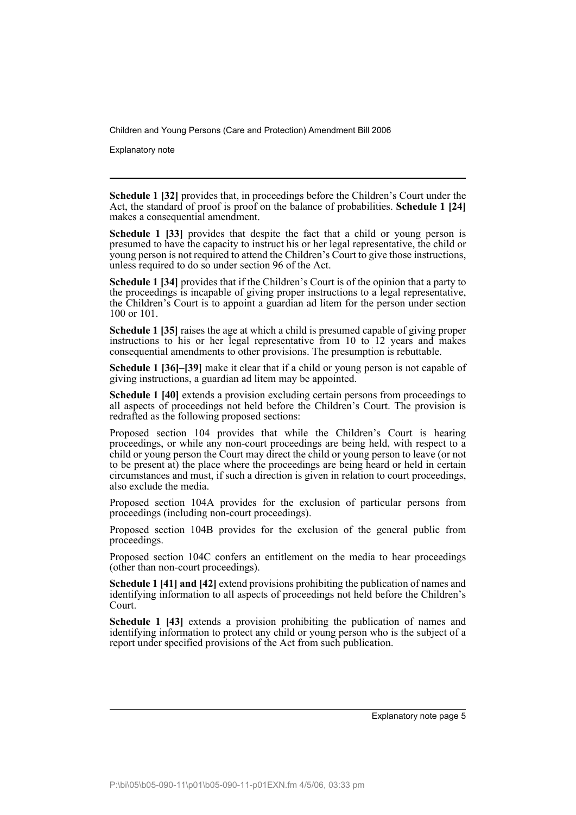Explanatory note

**Schedule 1 [32]** provides that, in proceedings before the Children's Court under the Act, the standard of proof is proof on the balance of probabilities. **Schedule 1 [24]** makes a consequential amendment.

**Schedule 1 [33]** provides that despite the fact that a child or young person is presumed to have the capacity to instruct his or her legal representative, the child or young person is not required to attend the Children's Court to give those instructions, unless required to do so under section 96 of the Act.

**Schedule 1 [34]** provides that if the Children's Court is of the opinion that a party to the proceedings is incapable of giving proper instructions to a legal representative, the Children's Court is to appoint a guardian ad litem for the person under section 100 or 101.

**Schedule 1 [35]** raises the age at which a child is presumed capable of giving proper instructions to his or her legal representative from 10 to 12 years and makes consequential amendments to other provisions. The presumption is rebuttable.

**Schedule 1 [36]–[39]** make it clear that if a child or young person is not capable of giving instructions, a guardian ad litem may be appointed.

**Schedule 1 [40]** extends a provision excluding certain persons from proceedings to all aspects of proceedings not held before the Children's Court. The provision is redrafted as the following proposed sections:

Proposed section 104 provides that while the Children's Court is hearing proceedings, or while any non-court proceedings are being held, with respect to a child or young person the Court may direct the child or young person to leave (or not to be present at) the place where the proceedings are being heard or held in certain circumstances and must, if such a direction is given in relation to court proceedings, also exclude the media.

Proposed section 104A provides for the exclusion of particular persons from proceedings (including non-court proceedings).

Proposed section 104B provides for the exclusion of the general public from proceedings.

Proposed section 104C confers an entitlement on the media to hear proceedings (other than non-court proceedings).

**Schedule 1 [41] and [42]** extend provisions prohibiting the publication of names and identifying information to all aspects of proceedings not held before the Children's Court.

**Schedule 1 [43]** extends a provision prohibiting the publication of names and identifying information to protect any child or young person who is the subject of a report under specified provisions of the Act from such publication.

Explanatory note page 5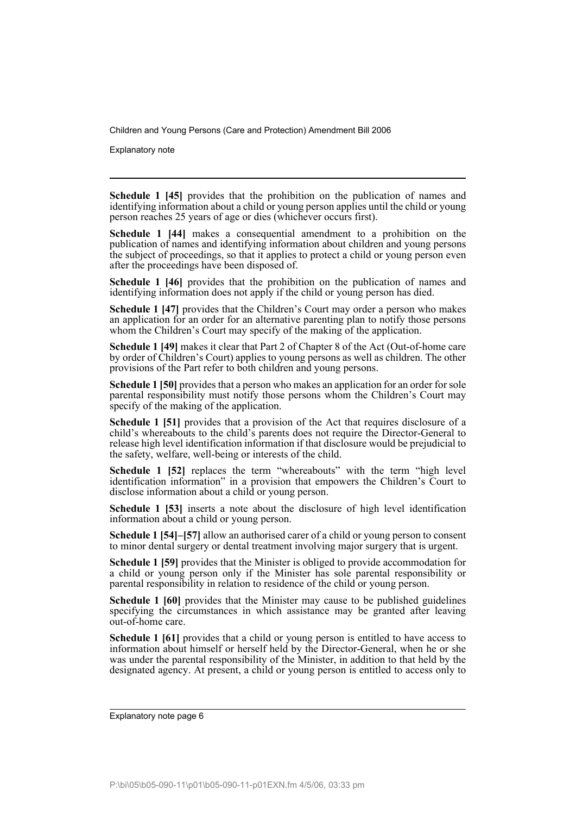Explanatory note

**Schedule 1 [45]** provides that the prohibition on the publication of names and identifying information about a child or young person applies until the child or young person reaches 25 years of age or dies (whichever occurs first).

**Schedule 1 [44]** makes a consequential amendment to a prohibition on the publication of names and identifying information about children and young persons the subject of proceedings, so that it applies to protect a child or young person even after the proceedings have been disposed of.

**Schedule 1 [46]** provides that the prohibition on the publication of names and identifying information does not apply if the child or young person has died.

**Schedule 1 [47]** provides that the Children's Court may order a person who makes an application for an order for an alternative parenting plan to notify those persons whom the Children's Court may specify of the making of the application.

**Schedule 1 [49]** makes it clear that Part 2 of Chapter 8 of the Act (Out-of-home care by order of Children's Court) applies to young persons as well as children. The other provisions of the Part refer to both children and young persons.

**Schedule 1 [50]** provides that a person who makes an application for an order for sole parental responsibility must notify those persons whom the Children's Court may specify of the making of the application.

**Schedule 1 [51]** provides that a provision of the Act that requires disclosure of a child's whereabouts to the child's parents does not require the Director-General to release high level identification information if that disclosure would be prejudicial to the safety, welfare, well-being or interests of the child.

Schedule 1 [52] replaces the term "whereabouts" with the term "high level identification information" in a provision that empowers the Children's Court to disclose information about a child or young person.

**Schedule 1 [53]** inserts a note about the disclosure of high level identification information about a child or young person.

**Schedule 1 [54]–[57]** allow an authorised carer of a child or young person to consent to minor dental surgery or dental treatment involving major surgery that is urgent.

**Schedule 1 [59]** provides that the Minister is obliged to provide accommodation for a child or young person only if the Minister has sole parental responsibility or parental responsibility in relation to residence of the child or young person.

**Schedule 1 [60]** provides that the Minister may cause to be published guidelines specifying the circumstances in which assistance may be granted after leaving out-of-home care.

**Schedule 1 [61]** provides that a child or young person is entitled to have access to information about himself or herself held by the Director-General, when he or she was under the parental responsibility of the Minister, in addition to that held by the designated agency. At present, a child or young person is entitled to access only to

Explanatory note page 6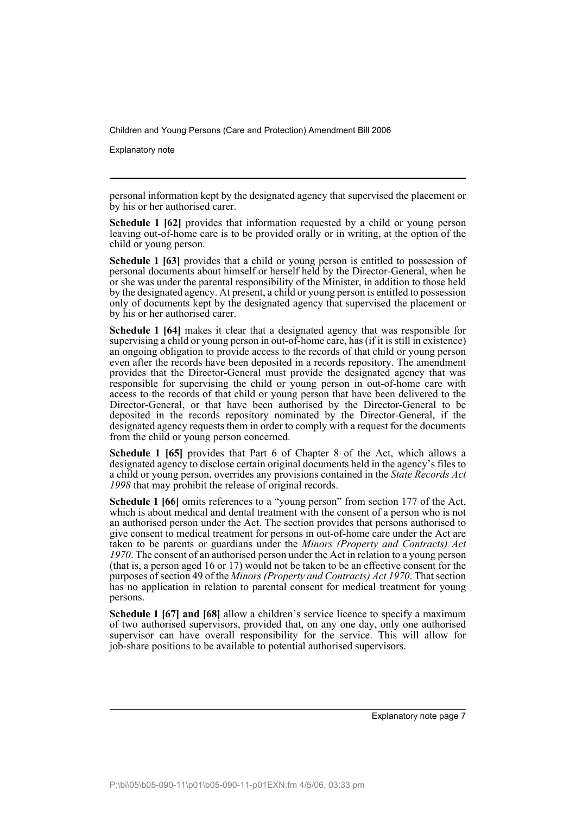Explanatory note

personal information kept by the designated agency that supervised the placement or by his or her authorised carer.

**Schedule 1 [62]** provides that information requested by a child or young person leaving out-of-home care is to be provided orally or in writing, at the option of the child or young person.

**Schedule 1 [63]** provides that a child or young person is entitled to possession of personal documents about himself or herself held by the Director-General, when he or she was under the parental responsibility of the Minister, in addition to those held by the designated agency. At present, a child or young person is entitled to possession only of documents kept by the designated agency that supervised the placement or by his or her authorised carer.

**Schedule 1 [64]** makes it clear that a designated agency that was responsible for supervising a child or young person in out-of-home care, has (if it is still in existence) an ongoing obligation to provide access to the records of that child or young person even after the records have been deposited in a records repository. The amendment provides that the Director-General must provide the designated agency that was responsible for supervising the child or young person in out-of-home care with access to the records of that child or young person that have been delivered to the Director-General, or that have been authorised by the Director-General to be deposited in the records repository nominated by the Director-General, if the designated agency requests them in order to comply with a request for the documents from the child or young person concerned.

**Schedule 1 [65]** provides that Part 6 of Chapter 8 of the Act, which allows a designated agency to disclose certain original documents held in the agency's files to a child or young person, overrides any provisions contained in the *State Records Act 1998* that may prohibit the release of original records.

**Schedule 1 [66]** omits references to a "young person" from section 177 of the Act, which is about medical and dental treatment with the consent of a person who is not an authorised person under the Act. The section provides that persons authorised to give consent to medical treatment for persons in out-of-home care under the Act are taken to be parents or guardians under the *Minors (Property and Contracts) Act 1970*. The consent of an authorised person under the Act in relation to a young person (that is, a person aged 16 or 17) would not be taken to be an effective consent for the purposes of section 49 of the *Minors (Property and Contracts) Act 1970*. That section has no application in relation to parental consent for medical treatment for young persons.

**Schedule 1 [67] and [68]** allow a children's service licence to specify a maximum of two authorised supervisors, provided that, on any one day, only one authorised supervisor can have overall responsibility for the service. This will allow for job-share positions to be available to potential authorised supervisors.

Explanatory note page 7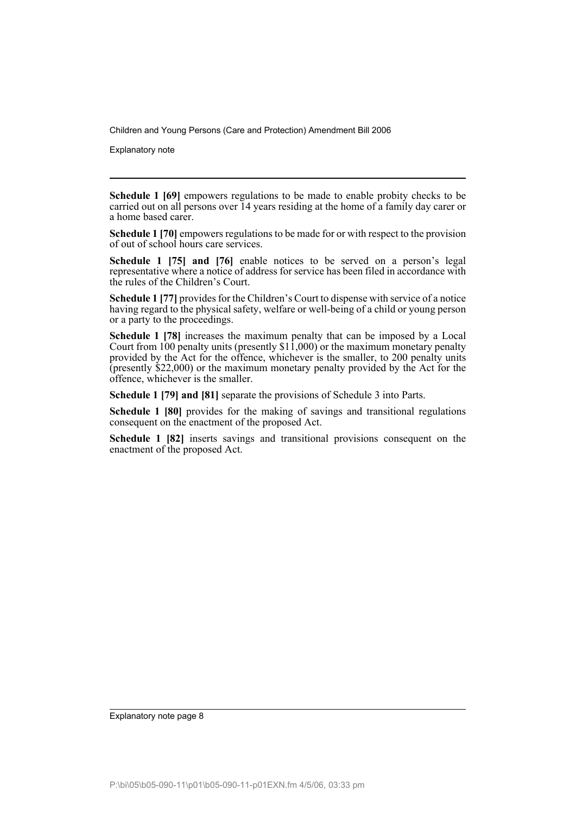Explanatory note

**Schedule 1 [69]** empowers regulations to be made to enable probity checks to be carried out on all persons over 14 years residing at the home of a family day carer or a home based carer.

**Schedule 1 [70]** empowers regulations to be made for or with respect to the provision of out of school hours care services.

**Schedule 1 [75] and [76]** enable notices to be served on a person's legal representative where a notice of address for service has been filed in accordance with the rules of the Children's Court.

**Schedule 1 [77]** provides for the Children's Court to dispense with service of a notice having regard to the physical safety, welfare or well-being of a child or young person or a party to the proceedings.

**Schedule 1 [78]** increases the maximum penalty that can be imposed by a Local Court from 100 penalty units (presently \$11,000) or the maximum monetary penalty provided by the Act for the offence, whichever is the smaller, to 200 penalty units (presently \$22,000) or the maximum monetary penalty provided by the Act for the offence, whichever is the smaller.

**Schedule 1 [79] and [81]** separate the provisions of Schedule 3 into Parts.

**Schedule 1 [80]** provides for the making of savings and transitional regulations consequent on the enactment of the proposed Act.

**Schedule 1 [82]** inserts savings and transitional provisions consequent on the enactment of the proposed Act.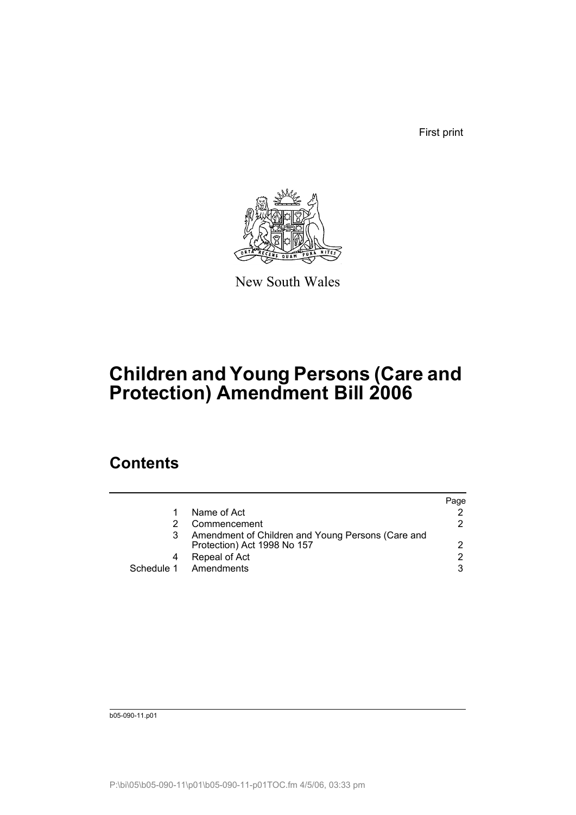First print



New South Wales

# **Children and Young Persons (Care and Protection) Amendment Bill 2006**

## **Contents**

|                                                                                  | Page |
|----------------------------------------------------------------------------------|------|
| Name of Act                                                                      |      |
| Commencement                                                                     | 2.   |
| Amendment of Children and Young Persons (Care and<br>Protection) Act 1998 No 157 | 2    |
| Repeal of Act                                                                    | 2    |
| Schedule 1 Amendments                                                            | 3    |

b05-090-11.p01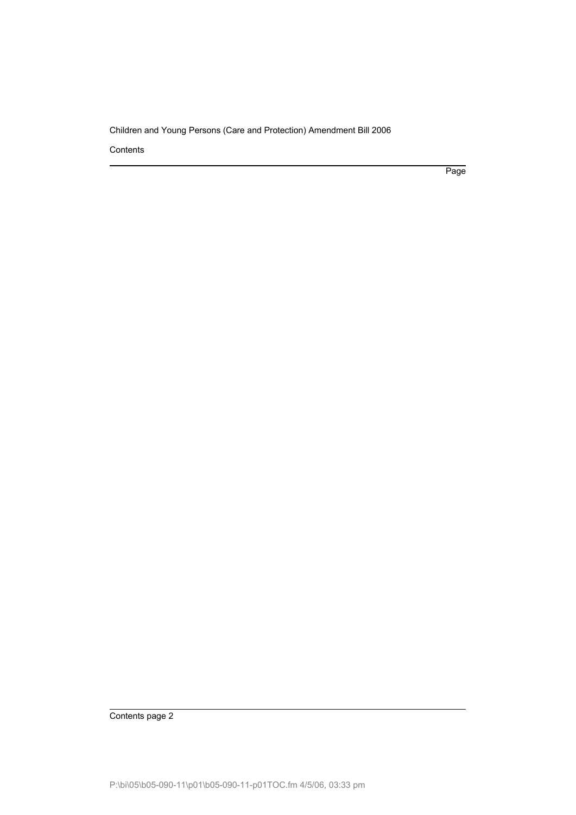Contents

Page

Contents page 2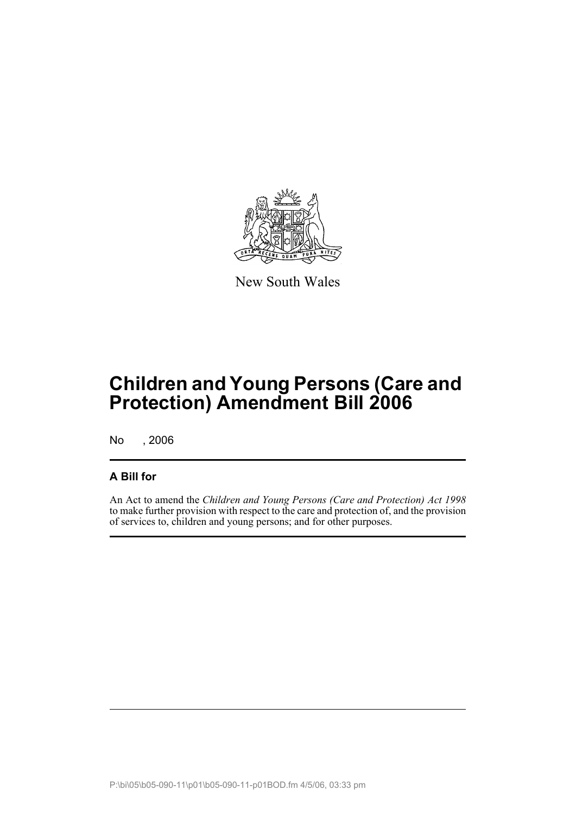

New South Wales

# **Children and Young Persons (Care and Protection) Amendment Bill 2006**

No , 2006

### **A Bill for**

An Act to amend the *Children and Young Persons (Care and Protection) Act 1998* to make further provision with respect to the care and protection of, and the provision of services to, children and young persons; and for other purposes.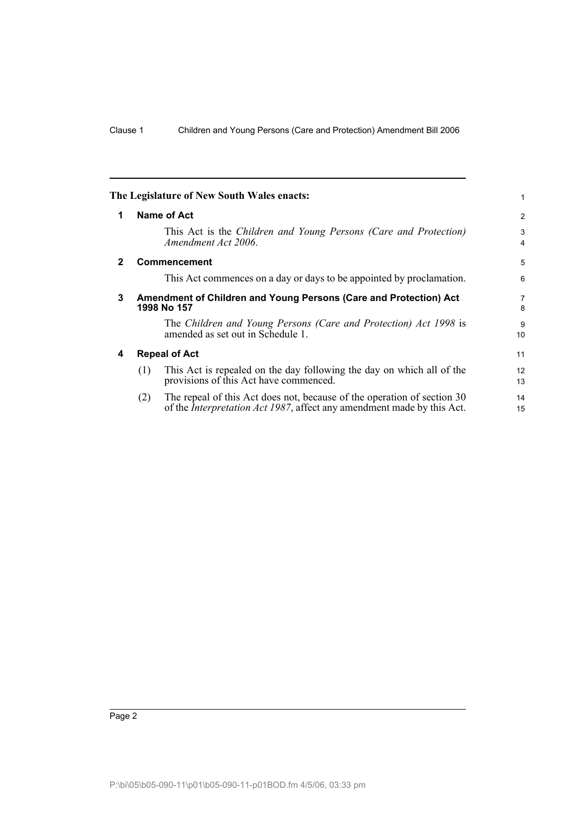<span id="page-11-3"></span><span id="page-11-2"></span><span id="page-11-1"></span><span id="page-11-0"></span>

|              | The Legislature of New South Wales enacts:                                                                                                                       |          | 1                   |  |  |  |
|--------------|------------------------------------------------------------------------------------------------------------------------------------------------------------------|----------|---------------------|--|--|--|
| 1            | Name of Act                                                                                                                                                      |          |                     |  |  |  |
|              | This Act is the Children and Young Persons (Care and Protection)<br>Amendment Act 2006                                                                           |          | 3<br>$\overline{4}$ |  |  |  |
| $\mathbf{2}$ | Commencement                                                                                                                                                     |          | 5                   |  |  |  |
|              | This Act commences on a day or days to be appointed by proclamation.                                                                                             |          | 6                   |  |  |  |
| 3            | Amendment of Children and Young Persons (Care and Protection) Act<br>1998 No 157                                                                                 |          | $\overline{7}$<br>8 |  |  |  |
|              | The Children and Young Persons (Care and Protection) Act 1998 is<br>amended as set out in Schedule 1.                                                            | 10       | 9                   |  |  |  |
| 4            | <b>Repeal of Act</b>                                                                                                                                             | 11       |                     |  |  |  |
|              | This Act is repealed on the day following the day on which all of the<br>(1)<br>provisions of this Act have commenced.                                           | 12<br>13 |                     |  |  |  |
|              | The repeal of this Act does not, because of the operation of section 30<br>(2)<br>of the <i>Interpretation Act 1987</i> , affect any amendment made by this Act. | 14<br>15 |                     |  |  |  |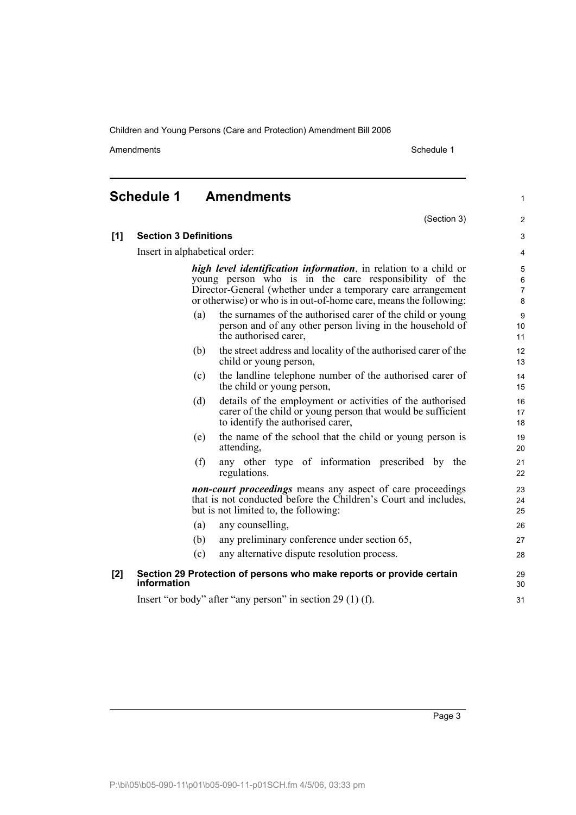Amendments **Amendments** Schedule 1

(Section 3)

1

 $\overline{2}$ 

### <span id="page-12-0"></span>**Schedule 1 Amendments**

**[1] Section 3 Definitions** Insert in alphabetical order: *high level identification information*, in relation to a child or young person who is in the care responsibility of the Director-General (whether under a temporary care arrangement or otherwise) or who is in out-of-home care, means the following: (a) the surnames of the authorised carer of the child or young person and of any other person living in the household of the authorised carer, (b) the street address and locality of the authorised carer of the child or young person, (c) the landline telephone number of the authorised carer of the child or young person, (d) details of the employment or activities of the authorised carer of the child or young person that would be sufficient to identify the authorised carer, (e) the name of the school that the child or young person is attending, (f) any other type of information prescribed by the regulations. *non-court proceedings* means any aspect of care proceedings that is not conducted before the Children's Court and includes, but is not limited to, the following: (a) any counselling, (b) any preliminary conference under section 65, (c) any alternative dispute resolution process. **[2] Section 29 Protection of persons who make reports or provide certain information** Insert "or body" after "any person" in section 29 (1) (f). 3 4 5 6 7 8 9 10 11 12 13 14 15 16 17 18 19 20 21 22 23 24 25 26 27 28 29 30 31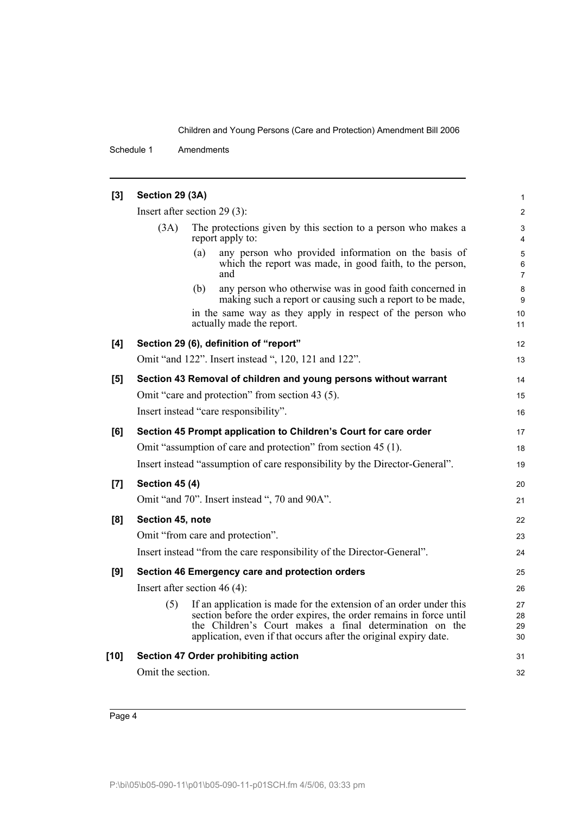| [3]    | Section 29 (3A)                |                                                                                                                                                                                                                                                                         | 1                    |
|--------|--------------------------------|-------------------------------------------------------------------------------------------------------------------------------------------------------------------------------------------------------------------------------------------------------------------------|----------------------|
|        | Insert after section $29(3)$ : |                                                                                                                                                                                                                                                                         | 2                    |
|        | (3A)                           | The protections given by this section to a person who makes a<br>report apply to:                                                                                                                                                                                       | 3<br>4               |
|        |                                | (a)<br>any person who provided information on the basis of<br>which the report was made, in good faith, to the person,<br>and                                                                                                                                           | 5<br>6<br>7          |
|        |                                | any person who otherwise was in good faith concerned in<br>(b)<br>making such a report or causing such a report to be made,                                                                                                                                             | 8<br>9               |
|        |                                | in the same way as they apply in respect of the person who<br>actually made the report.                                                                                                                                                                                 | 10<br>11             |
| [4]    |                                | Section 29 (6), definition of "report"                                                                                                                                                                                                                                  | 12                   |
|        |                                | Omit "and 122". Insert instead ", 120, 121 and 122".                                                                                                                                                                                                                    | 13                   |
| [5]    |                                | Section 43 Removal of children and young persons without warrant                                                                                                                                                                                                        | 14                   |
|        |                                | Omit "care and protection" from section 43 (5).                                                                                                                                                                                                                         | 15                   |
|        |                                | Insert instead "care responsibility".                                                                                                                                                                                                                                   | 16                   |
| [6]    |                                | Section 45 Prompt application to Children's Court for care order                                                                                                                                                                                                        | 17                   |
|        |                                | Omit "assumption of care and protection" from section 45 (1).                                                                                                                                                                                                           | 18                   |
|        |                                | Insert instead "assumption of care responsibility by the Director-General".                                                                                                                                                                                             | 19                   |
| [7]    | <b>Section 45 (4)</b>          |                                                                                                                                                                                                                                                                         | 20                   |
|        |                                | Omit "and 70". Insert instead ", 70 and 90A".                                                                                                                                                                                                                           | 21                   |
| [8]    | Section 45, note               |                                                                                                                                                                                                                                                                         | 22                   |
|        |                                | Omit "from care and protection".                                                                                                                                                                                                                                        | 23                   |
|        |                                | Insert instead "from the care responsibility of the Director-General".                                                                                                                                                                                                  | 24                   |
| [9]    |                                | Section 46 Emergency care and protection orders                                                                                                                                                                                                                         | 25                   |
|        | Insert after section $46(4)$ : |                                                                                                                                                                                                                                                                         | 26                   |
|        | (5)                            | If an application is made for the extension of an order under this<br>section before the order expires, the order remains in force until<br>the Children's Court makes a final determination on the<br>application, even if that occurs after the original expiry date. | 27<br>28<br>29<br>30 |
| $[10]$ |                                | Section 47 Order prohibiting action                                                                                                                                                                                                                                     | 31                   |
|        | Omit the section.              |                                                                                                                                                                                                                                                                         | 32                   |
|        |                                |                                                                                                                                                                                                                                                                         |                      |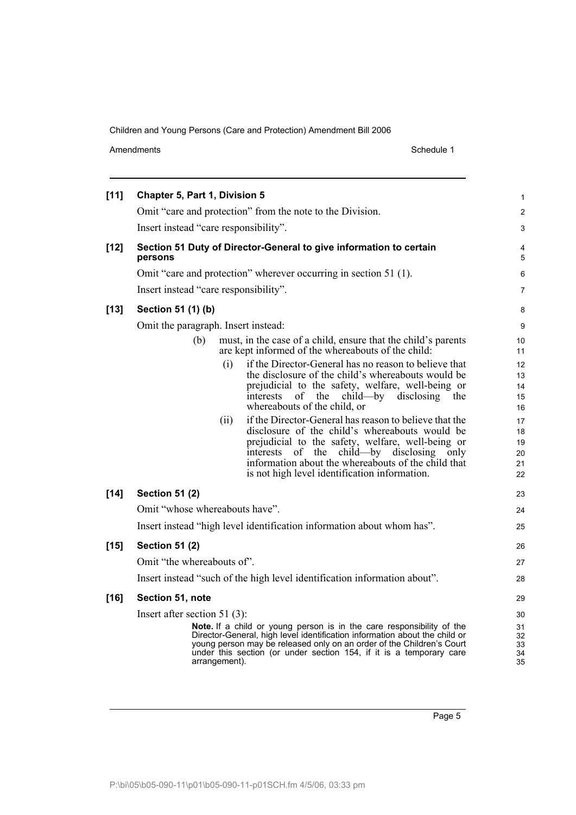| Amendments |  |  |  |
|------------|--|--|--|
|------------|--|--|--|

Schedule 1

| Chapter 5, Part 1, Division 5                                                                                                                                                                                                                                                                                                       | 1                                |
|-------------------------------------------------------------------------------------------------------------------------------------------------------------------------------------------------------------------------------------------------------------------------------------------------------------------------------------|----------------------------------|
| Omit "care and protection" from the note to the Division.                                                                                                                                                                                                                                                                           | 2                                |
| Insert instead "care responsibility".                                                                                                                                                                                                                                                                                               | 3                                |
| Section 51 Duty of Director-General to give information to certain<br>persons                                                                                                                                                                                                                                                       | 4<br>5                           |
| Omit "care and protection" wherever occurring in section 51 (1).                                                                                                                                                                                                                                                                    | 6                                |
| Insert instead "care responsibility".                                                                                                                                                                                                                                                                                               | $\overline{7}$                   |
| Section 51 (1) (b)                                                                                                                                                                                                                                                                                                                  | 8                                |
| Omit the paragraph. Insert instead:                                                                                                                                                                                                                                                                                                 | 9                                |
| (b)<br>must, in the case of a child, ensure that the child's parents<br>are kept informed of the whereabouts of the child:                                                                                                                                                                                                          | 10<br>11                         |
| if the Director-General has no reason to believe that<br>(i)<br>the disclosure of the child's whereabouts would be<br>prejudicial to the safety, welfare, well-being or<br>interests<br>of the child—by<br>disclosing<br>the<br>whereabouts of the child, or                                                                        | 12<br>13<br>14<br>15<br>16       |
| if the Director-General has reason to believe that the<br>(ii)<br>disclosure of the child's whereabouts would be<br>prejudicial to the safety, welfare, well-being or<br>child—by disclosing<br>interests<br>of the<br>only<br>information about the whereabouts of the child that<br>is not high level identification information. | 17<br>18<br>19<br>20<br>21<br>22 |
| <b>Section 51 (2)</b>                                                                                                                                                                                                                                                                                                               | 23                               |
| Omit "whose whereabouts have".                                                                                                                                                                                                                                                                                                      | 24                               |
| Insert instead "high level identification information about whom has".                                                                                                                                                                                                                                                              | 25                               |
| <b>Section 51 (2)</b>                                                                                                                                                                                                                                                                                                               | 26                               |
| Omit "the whereabouts of".                                                                                                                                                                                                                                                                                                          | 27                               |
| Insert instead "such of the high level identification information about".                                                                                                                                                                                                                                                           | 28                               |
| Section 51, note                                                                                                                                                                                                                                                                                                                    | 29                               |
| Insert after section $51(3)$ :                                                                                                                                                                                                                                                                                                      | 30                               |
| Note. If a child or young person is in the care responsibility of the<br>Director-General, high level identification information about the child or<br>young person may be released only on an order of the Children's Court<br>under this section (or under section 154, if it is a temporary care<br>arrangement).                | 31<br>32<br>33<br>34<br>35       |
|                                                                                                                                                                                                                                                                                                                                     |                                  |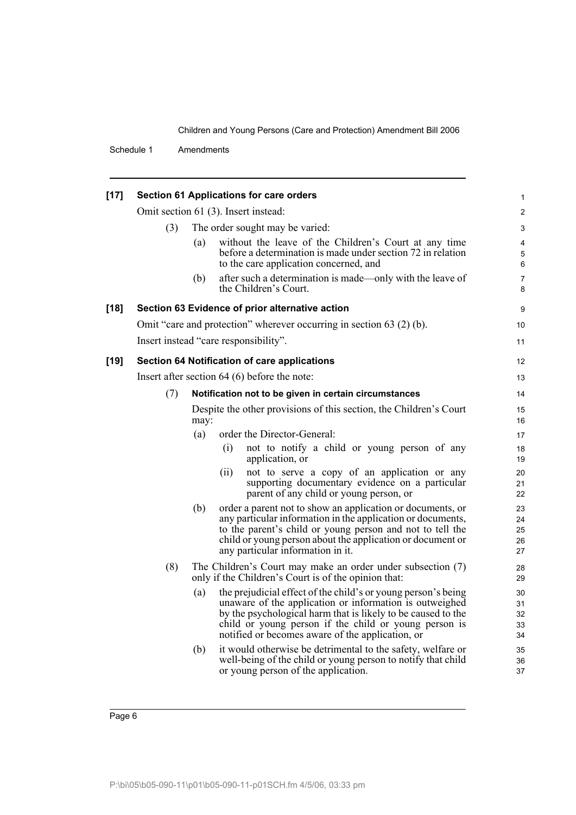| $[17]$ |     |      | <b>Section 61 Applications for care orders</b>                                                                                                                                                                                                                                                        | 1                          |
|--------|-----|------|-------------------------------------------------------------------------------------------------------------------------------------------------------------------------------------------------------------------------------------------------------------------------------------------------------|----------------------------|
|        |     |      | Omit section 61 (3). Insert instead:                                                                                                                                                                                                                                                                  | $\overline{c}$             |
|        | (3) |      | The order sought may be varied:                                                                                                                                                                                                                                                                       | 3                          |
|        |     | (a)  | without the leave of the Children's Court at any time<br>before a determination is made under section 72 in relation<br>to the care application concerned, and                                                                                                                                        | 4<br>5<br>6                |
|        |     | (b)  | after such a determination is made—only with the leave of<br>the Children's Court.                                                                                                                                                                                                                    | 7<br>8                     |
| $[18]$ |     |      | Section 63 Evidence of prior alternative action                                                                                                                                                                                                                                                       | 9                          |
|        |     |      | Omit "care and protection" wherever occurring in section 63 (2) (b).                                                                                                                                                                                                                                  | 10 <sup>°</sup>            |
|        |     |      | Insert instead "care responsibility".                                                                                                                                                                                                                                                                 | 11                         |
| $[19]$ |     |      | Section 64 Notification of care applications                                                                                                                                                                                                                                                          | 12                         |
|        |     |      | Insert after section $64(6)$ before the note:                                                                                                                                                                                                                                                         | 13                         |
|        | (7) |      | Notification not to be given in certain circumstances                                                                                                                                                                                                                                                 | 14                         |
|        |     | may: | Despite the other provisions of this section, the Children's Court                                                                                                                                                                                                                                    | 15<br>16                   |
|        |     | (a)  | order the Director-General:                                                                                                                                                                                                                                                                           | 17                         |
|        |     |      | not to notify a child or young person of any<br>(i)<br>application, or                                                                                                                                                                                                                                | 18<br>19                   |
|        |     |      | not to serve a copy of an application or any<br>(11)<br>supporting documentary evidence on a particular<br>parent of any child or young person, or                                                                                                                                                    | 20<br>21<br>22             |
|        |     | (b)  | order a parent not to show an application or documents, or<br>any particular information in the application or documents,<br>to the parent's child or young person and not to tell the<br>child or young person about the application or document or<br>any particular information in it.             | 23<br>24<br>25<br>26<br>27 |
|        | (8) |      | The Children's Court may make an order under subsection (7)<br>only if the Children's Court is of the opinion that:                                                                                                                                                                                   | 28<br>29                   |
|        |     | (a)  | the prejudicial effect of the child's or young person's being<br>unaware of the application or information is outweighed<br>by the psychological harm that is likely to be caused to the<br>child or young person if the child or young person is<br>notified or becomes aware of the application, or | 30<br>31<br>32<br>33<br>34 |
|        |     | (b)  | it would otherwise be detrimental to the safety, welfare or<br>well-being of the child or young person to notify that child<br>or young person of the application.                                                                                                                                    | 35<br>36<br>37             |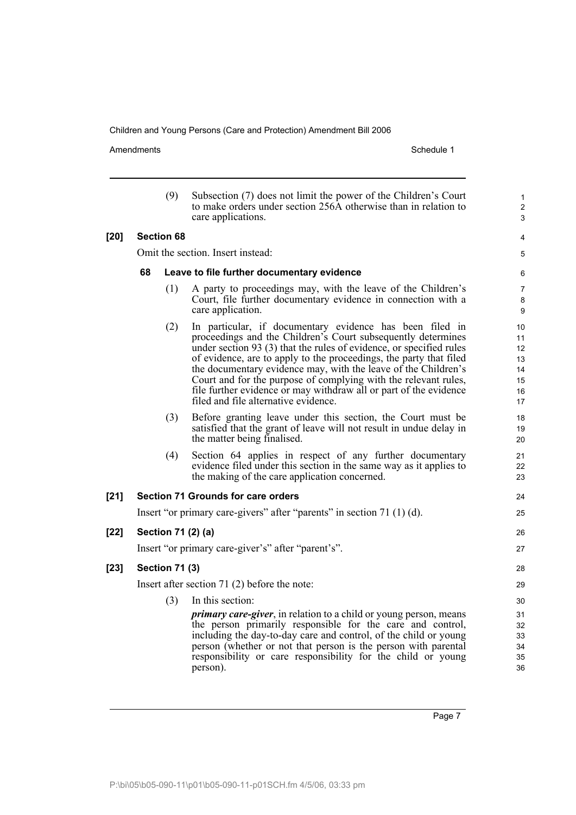Amendments Schedule 1

|        |                                                    | (9)                   | Subsection (7) does not limit the power of the Children's Court<br>to make orders under section 256A otherwise than in relation to<br>care applications.                                                                                                                                                                                                                                                                                                                                                                | 1<br>$\overline{c}$<br>3                     |  |  |
|--------|----------------------------------------------------|-----------------------|-------------------------------------------------------------------------------------------------------------------------------------------------------------------------------------------------------------------------------------------------------------------------------------------------------------------------------------------------------------------------------------------------------------------------------------------------------------------------------------------------------------------------|----------------------------------------------|--|--|
| $[20]$ |                                                    | <b>Section 68</b>     |                                                                                                                                                                                                                                                                                                                                                                                                                                                                                                                         | 4                                            |  |  |
|        |                                                    |                       | Omit the section. Insert instead:                                                                                                                                                                                                                                                                                                                                                                                                                                                                                       | 5                                            |  |  |
|        | 68                                                 |                       | Leave to file further documentary evidence                                                                                                                                                                                                                                                                                                                                                                                                                                                                              | 6                                            |  |  |
|        |                                                    | (1)                   | A party to proceedings may, with the leave of the Children's<br>Court, file further documentary evidence in connection with a<br>care application.                                                                                                                                                                                                                                                                                                                                                                      | $\overline{7}$<br>8<br>9                     |  |  |
|        |                                                    | (2)                   | In particular, if documentary evidence has been filed in<br>proceedings and the Children's Court subsequently determines<br>under section 93 (3) that the rules of evidence, or specified rules<br>of evidence, are to apply to the proceedings, the party that filed<br>the documentary evidence may, with the leave of the Children's<br>Court and for the purpose of complying with the relevant rules,<br>file further evidence or may withdraw all or part of the evidence<br>filed and file alternative evidence. | 10<br>11<br>12<br>13<br>14<br>15<br>16<br>17 |  |  |
|        |                                                    | (3)                   | Before granting leave under this section, the Court must be<br>satisfied that the grant of leave will not result in undue delay in<br>the matter being finalised.                                                                                                                                                                                                                                                                                                                                                       | 18<br>19<br>20                               |  |  |
|        |                                                    | (4)                   | Section 64 applies in respect of any further documentary<br>evidence filed under this section in the same way as it applies to<br>the making of the care application concerned.                                                                                                                                                                                                                                                                                                                                         | 21<br>22<br>23                               |  |  |
| $[21]$ |                                                    |                       | <b>Section 71 Grounds for care orders</b>                                                                                                                                                                                                                                                                                                                                                                                                                                                                               | 24                                           |  |  |
|        |                                                    |                       | Insert "or primary care-givers" after "parents" in section 71 (1) (d).                                                                                                                                                                                                                                                                                                                                                                                                                                                  | 25                                           |  |  |
| $[22]$ |                                                    |                       | Section 71 (2) (a)                                                                                                                                                                                                                                                                                                                                                                                                                                                                                                      | 26                                           |  |  |
|        | Insert "or primary care-giver's" after "parent's". |                       |                                                                                                                                                                                                                                                                                                                                                                                                                                                                                                                         |                                              |  |  |
| $[23]$ |                                                    | <b>Section 71 (3)</b> |                                                                                                                                                                                                                                                                                                                                                                                                                                                                                                                         | 28                                           |  |  |
|        | Insert after section 71 $(2)$ before the note:     |                       |                                                                                                                                                                                                                                                                                                                                                                                                                                                                                                                         |                                              |  |  |
|        |                                                    | (3)                   | In this section:<br><i>primary care-giver</i> , in relation to a child or young person, means<br>the person primarily responsible for the care and control,<br>including the day-to-day care and control, of the child or young<br>person (whether or not that person is the person with parental<br>responsibility or care responsibility for the child or young<br>person).                                                                                                                                           | 30<br>31<br>32<br>33<br>34<br>35<br>36       |  |  |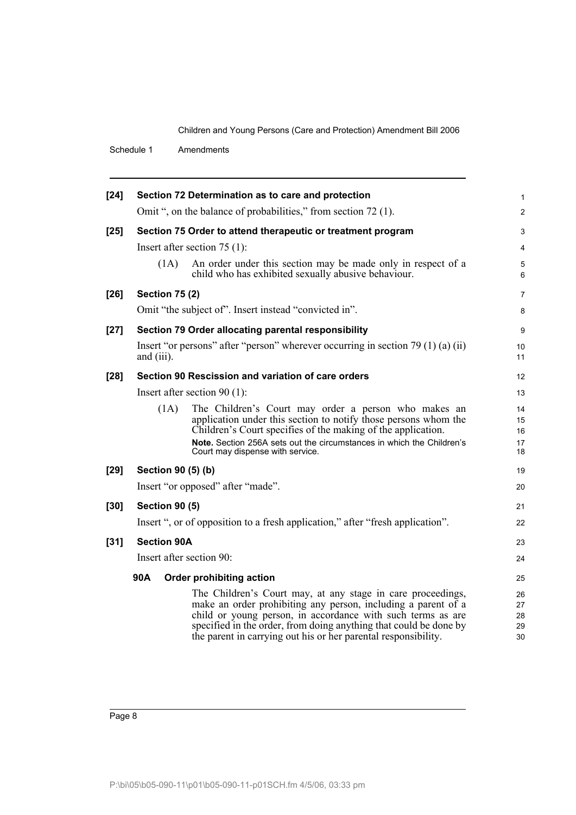|               |                                                                                                                                                                                                                                                                                                                                    | 1                                                                                                                                                                                                                                                                                                                                                                                                                                                                                                                                                                                                                                                                                                                                                                                                                                                                       |
|---------------|------------------------------------------------------------------------------------------------------------------------------------------------------------------------------------------------------------------------------------------------------------------------------------------------------------------------------------|-------------------------------------------------------------------------------------------------------------------------------------------------------------------------------------------------------------------------------------------------------------------------------------------------------------------------------------------------------------------------------------------------------------------------------------------------------------------------------------------------------------------------------------------------------------------------------------------------------------------------------------------------------------------------------------------------------------------------------------------------------------------------------------------------------------------------------------------------------------------------|
|               |                                                                                                                                                                                                                                                                                                                                    | $\overline{2}$                                                                                                                                                                                                                                                                                                                                                                                                                                                                                                                                                                                                                                                                                                                                                                                                                                                          |
|               |                                                                                                                                                                                                                                                                                                                                    | $\mathsf 3$                                                                                                                                                                                                                                                                                                                                                                                                                                                                                                                                                                                                                                                                                                                                                                                                                                                             |
|               |                                                                                                                                                                                                                                                                                                                                    | 4                                                                                                                                                                                                                                                                                                                                                                                                                                                                                                                                                                                                                                                                                                                                                                                                                                                                       |
| (1A)          | An order under this section may be made only in respect of a<br>child who has exhibited sexually abusive behaviour.                                                                                                                                                                                                                | 5<br>6                                                                                                                                                                                                                                                                                                                                                                                                                                                                                                                                                                                                                                                                                                                                                                                                                                                                  |
|               |                                                                                                                                                                                                                                                                                                                                    | $\overline{7}$                                                                                                                                                                                                                                                                                                                                                                                                                                                                                                                                                                                                                                                                                                                                                                                                                                                          |
|               |                                                                                                                                                                                                                                                                                                                                    | 8                                                                                                                                                                                                                                                                                                                                                                                                                                                                                                                                                                                                                                                                                                                                                                                                                                                                       |
|               |                                                                                                                                                                                                                                                                                                                                    | 9                                                                                                                                                                                                                                                                                                                                                                                                                                                                                                                                                                                                                                                                                                                                                                                                                                                                       |
| and $(iii)$ . |                                                                                                                                                                                                                                                                                                                                    | 10<br>11                                                                                                                                                                                                                                                                                                                                                                                                                                                                                                                                                                                                                                                                                                                                                                                                                                                                |
|               |                                                                                                                                                                                                                                                                                                                                    | 12                                                                                                                                                                                                                                                                                                                                                                                                                                                                                                                                                                                                                                                                                                                                                                                                                                                                      |
|               |                                                                                                                                                                                                                                                                                                                                    | 13                                                                                                                                                                                                                                                                                                                                                                                                                                                                                                                                                                                                                                                                                                                                                                                                                                                                      |
| (1A)          | The Children's Court may order a person who makes an<br>application under this section to notify those persons whom the<br>Children's Court specifies of the making of the application.                                                                                                                                            | 14<br>15<br>16<br>17                                                                                                                                                                                                                                                                                                                                                                                                                                                                                                                                                                                                                                                                                                                                                                                                                                                    |
|               | Court may dispense with service.                                                                                                                                                                                                                                                                                                   | 18                                                                                                                                                                                                                                                                                                                                                                                                                                                                                                                                                                                                                                                                                                                                                                                                                                                                      |
|               |                                                                                                                                                                                                                                                                                                                                    | 19                                                                                                                                                                                                                                                                                                                                                                                                                                                                                                                                                                                                                                                                                                                                                                                                                                                                      |
|               |                                                                                                                                                                                                                                                                                                                                    | 20                                                                                                                                                                                                                                                                                                                                                                                                                                                                                                                                                                                                                                                                                                                                                                                                                                                                      |
|               |                                                                                                                                                                                                                                                                                                                                    | 21                                                                                                                                                                                                                                                                                                                                                                                                                                                                                                                                                                                                                                                                                                                                                                                                                                                                      |
|               |                                                                                                                                                                                                                                                                                                                                    | 22                                                                                                                                                                                                                                                                                                                                                                                                                                                                                                                                                                                                                                                                                                                                                                                                                                                                      |
|               |                                                                                                                                                                                                                                                                                                                                    | 23                                                                                                                                                                                                                                                                                                                                                                                                                                                                                                                                                                                                                                                                                                                                                                                                                                                                      |
|               |                                                                                                                                                                                                                                                                                                                                    | 24                                                                                                                                                                                                                                                                                                                                                                                                                                                                                                                                                                                                                                                                                                                                                                                                                                                                      |
| 90A           |                                                                                                                                                                                                                                                                                                                                    | 25                                                                                                                                                                                                                                                                                                                                                                                                                                                                                                                                                                                                                                                                                                                                                                                                                                                                      |
|               | The Children's Court may, at any stage in care proceedings,<br>make an order prohibiting any person, including a parent of a<br>child or young person, in accordance with such terms as are<br>specified in the order, from doing anything that could be done by<br>the parent in carrying out his or her parental responsibility. | 26<br>27<br>28<br>29<br>30                                                                                                                                                                                                                                                                                                                                                                                                                                                                                                                                                                                                                                                                                                                                                                                                                                              |
|               |                                                                                                                                                                                                                                                                                                                                    | Section 72 Determination as to care and protection<br>Omit ", on the balance of probabilities," from section 72 (1).<br>Section 75 Order to attend therapeutic or treatment program<br>Insert after section $75(1)$ :<br><b>Section 75 (2)</b><br>Omit "the subject of". Insert instead "convicted in".<br>Section 79 Order allocating parental responsibility<br>Insert "or persons" after "person" wherever occurring in section 79 (1) (a) (ii)<br>Section 90 Rescission and variation of care orders<br>Insert after section $90(1)$ :<br>Note. Section 256A sets out the circumstances in which the Children's<br>Section 90 (5) (b)<br>Insert "or opposed" after "made".<br><b>Section 90 (5)</b><br>Insert ", or of opposition to a fresh application," after "fresh application".<br><b>Section 90A</b><br>Insert after section 90:<br>Order prohibiting action |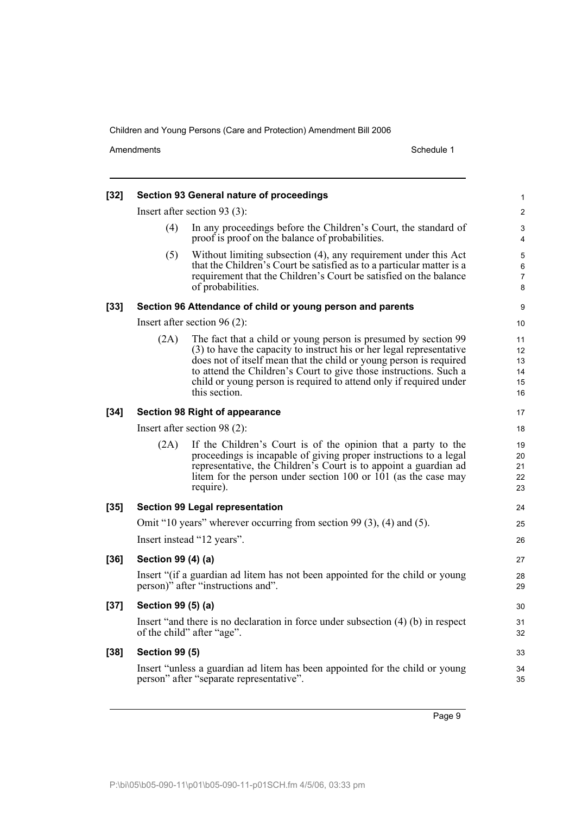Amendments Schedule 1

| $[32]$ |                       | <b>Section 93 General nature of proceedings</b>                                                                                                                                                                                                                                                                                                                           | 1                                |
|--------|-----------------------|---------------------------------------------------------------------------------------------------------------------------------------------------------------------------------------------------------------------------------------------------------------------------------------------------------------------------------------------------------------------------|----------------------------------|
|        |                       | Insert after section 93 $(3)$ :                                                                                                                                                                                                                                                                                                                                           | $\overline{c}$                   |
|        | (4)                   | In any proceedings before the Children's Court, the standard of<br>proof is proof on the balance of probabilities.                                                                                                                                                                                                                                                        | 3<br>4                           |
|        | (5)                   | Without limiting subsection (4), any requirement under this Act<br>that the Children's Court be satisfied as to a particular matter is a<br>requirement that the Children's Court be satisfied on the balance<br>of probabilities.                                                                                                                                        | 5<br>6<br>$\overline{7}$<br>8    |
| $[33]$ |                       | Section 96 Attendance of child or young person and parents                                                                                                                                                                                                                                                                                                                | 9                                |
|        |                       | Insert after section $96(2)$ :                                                                                                                                                                                                                                                                                                                                            | 10                               |
|        | (2A)                  | The fact that a child or young person is presumed by section 99<br>(3) to have the capacity to instruct his or her legal representative<br>does not of itself mean that the child or young person is required<br>to attend the Children's Court to give those instructions. Such a<br>child or young person is required to attend only if required under<br>this section. | 11<br>12<br>13<br>14<br>15<br>16 |
| $[34]$ |                       | <b>Section 98 Right of appearance</b>                                                                                                                                                                                                                                                                                                                                     | 17                               |
|        |                       | Insert after section $98(2)$ :                                                                                                                                                                                                                                                                                                                                            | 18                               |
|        | (2A)                  | If the Children's Court is of the opinion that a party to the<br>proceedings is incapable of giving proper instructions to a legal<br>representative, the Children's Court is to appoint a guardian ad<br>litem for the person under section 100 or $101$ (as the case may<br>require).                                                                                   | 19<br>20<br>21<br>22<br>23       |
| $[35]$ |                       | <b>Section 99 Legal representation</b>                                                                                                                                                                                                                                                                                                                                    | 24                               |
|        |                       | Omit "10 years" wherever occurring from section 99 $(3)$ , $(4)$ and $(5)$ .                                                                                                                                                                                                                                                                                              | 25                               |
|        |                       | Insert instead "12 years".                                                                                                                                                                                                                                                                                                                                                | 26                               |
| $[36]$ | Section 99 (4) (a)    |                                                                                                                                                                                                                                                                                                                                                                           | 27                               |
|        |                       | Insert "(if a guardian ad litem has not been appointed for the child or young<br>person)" after "instructions and".                                                                                                                                                                                                                                                       | 28<br>29                         |
| $[37]$ | Section 99 (5) (a)    |                                                                                                                                                                                                                                                                                                                                                                           | 30                               |
|        |                       | Insert "and there is no declaration in force under subsection (4) (b) in respect<br>of the child" after "age".                                                                                                                                                                                                                                                            | 31<br>32                         |
| $[38]$ | <b>Section 99 (5)</b> |                                                                                                                                                                                                                                                                                                                                                                           | 33                               |
|        |                       | Insert "unless a guardian ad litem has been appointed for the child or young<br>person" after "separate representative".                                                                                                                                                                                                                                                  | 34<br>35                         |
|        |                       |                                                                                                                                                                                                                                                                                                                                                                           |                                  |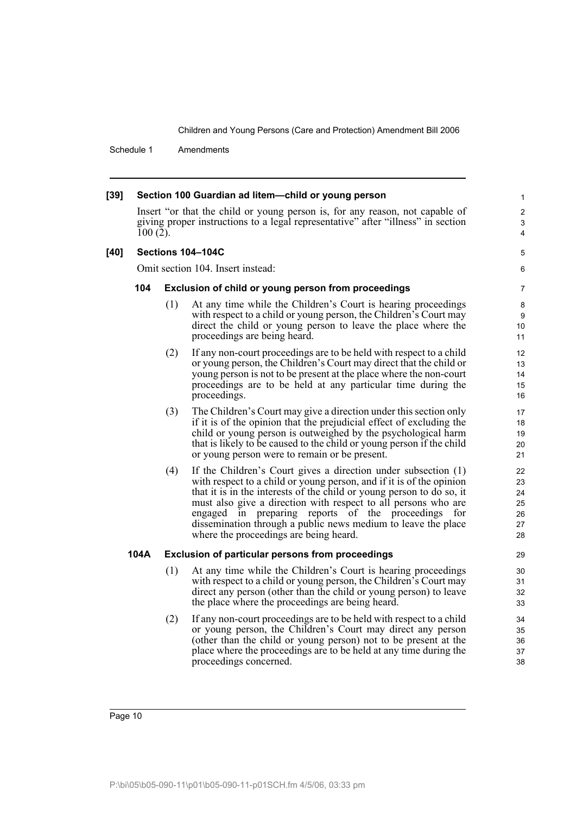| $[39]$ |                                                                                                                                                                                |     | Section 100 Guardian ad litem-child or young person                                                                                                                                                                                                                                                                                                                                                                                                    | 1                                      |  |  |
|--------|--------------------------------------------------------------------------------------------------------------------------------------------------------------------------------|-----|--------------------------------------------------------------------------------------------------------------------------------------------------------------------------------------------------------------------------------------------------------------------------------------------------------------------------------------------------------------------------------------------------------------------------------------------------------|----------------------------------------|--|--|
|        | Insert "or that the child or young person is, for any reason, not capable of<br>giving proper instructions to a legal representative" after "illness" in section<br>$100(2)$ . |     |                                                                                                                                                                                                                                                                                                                                                                                                                                                        |                                        |  |  |
| $[40]$ | <b>Sections 104-104C</b>                                                                                                                                                       |     |                                                                                                                                                                                                                                                                                                                                                                                                                                                        |                                        |  |  |
|        | Omit section 104. Insert instead:                                                                                                                                              |     |                                                                                                                                                                                                                                                                                                                                                                                                                                                        |                                        |  |  |
|        | 104                                                                                                                                                                            |     | Exclusion of child or young person from proceedings                                                                                                                                                                                                                                                                                                                                                                                                    | 7                                      |  |  |
|        |                                                                                                                                                                                | (1) | At any time while the Children's Court is hearing proceedings<br>with respect to a child or young person, the Children's Court may<br>direct the child or young person to leave the place where the<br>proceedings are being heard.                                                                                                                                                                                                                    | 8<br>9<br>10<br>11                     |  |  |
|        |                                                                                                                                                                                | (2) | If any non-court proceedings are to be held with respect to a child<br>or young person, the Children's Court may direct that the child or<br>young person is not to be present at the place where the non-court<br>proceedings are to be held at any particular time during the<br>proceedings.                                                                                                                                                        | 12<br>13<br>14<br>15<br>16             |  |  |
|        |                                                                                                                                                                                | (3) | The Children's Court may give a direction under this section only<br>if it is of the opinion that the prejudicial effect of excluding the<br>child or young person is outweighed by the psychological harm<br>that is likely to be caused to the child or young person if the child<br>or young person were to remain or be present.                                                                                                                   | 17<br>18<br>19<br>20<br>21             |  |  |
|        |                                                                                                                                                                                | (4) | If the Children's Court gives a direction under subsection (1)<br>with respect to a child or young person, and if it is of the opinion<br>that it is in the interests of the child or young person to do so, it<br>must also give a direction with respect to all persons who are<br>engaged in preparing reports of the proceedings<br>for<br>dissemination through a public news medium to leave the place<br>where the proceedings are being heard. | 22<br>23<br>24<br>25<br>26<br>27<br>28 |  |  |
|        | 104A                                                                                                                                                                           |     | Exclusion of particular persons from proceedings                                                                                                                                                                                                                                                                                                                                                                                                       | 29                                     |  |  |
|        |                                                                                                                                                                                | (1) | At any time while the Children's Court is hearing proceedings<br>with respect to a child or young person, the Children's Court may<br>direct any person (other than the child or young person) to leave<br>the place where the proceedings are being heard.                                                                                                                                                                                            | 30<br>31<br>32<br>33                   |  |  |
|        |                                                                                                                                                                                | (2) | If any non-court proceedings are to be held with respect to a child<br>or young person, the Children's Court may direct any person<br>(other than the child or young person) not to be present at the<br>place where the proceedings are to be held at any time during the<br>proceedings concerned.                                                                                                                                                   | 34<br>35<br>36<br>37<br>38             |  |  |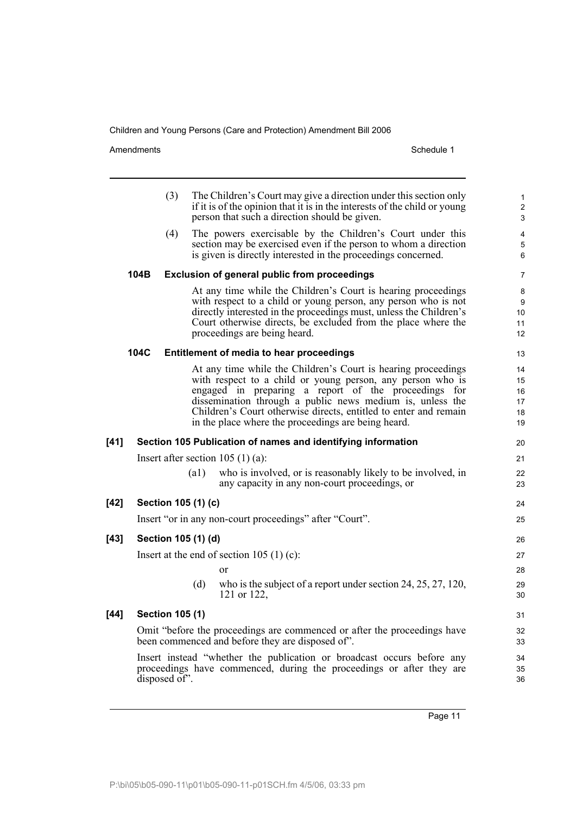Amendments Schedule 1

|        |      | (3)                    |                     | The Children's Court may give a direction under this section only<br>if it is of the opinion that it is in the interests of the child or young<br>person that such a direction should be given.                                                                                                                                                                             | $\mathbf{1}$<br>$\overline{2}$<br>3 |
|--------|------|------------------------|---------------------|-----------------------------------------------------------------------------------------------------------------------------------------------------------------------------------------------------------------------------------------------------------------------------------------------------------------------------------------------------------------------------|-------------------------------------|
|        |      | (4)                    |                     | The powers exercisable by the Children's Court under this<br>section may be exercised even if the person to whom a direction<br>is given is directly interested in the proceedings concerned.                                                                                                                                                                               | 4<br>$\mathbf 5$<br>6               |
|        | 104B |                        |                     | Exclusion of general public from proceedings                                                                                                                                                                                                                                                                                                                                | 7                                   |
|        |      |                        |                     | At any time while the Children's Court is hearing proceedings<br>with respect to a child or young person, any person who is not<br>directly interested in the proceedings must, unless the Children's<br>Court otherwise directs, be excluded from the place where the<br>proceedings are being heard.                                                                      | 8<br>9<br>10<br>11<br>12            |
|        | 104C |                        |                     | Entitlement of media to hear proceedings                                                                                                                                                                                                                                                                                                                                    | 13                                  |
|        |      |                        |                     | At any time while the Children's Court is hearing proceedings<br>with respect to a child or young person, any person who is<br>engaged in preparing a report of the proceedings for<br>dissemination through a public news medium is, unless the<br>Children's Court otherwise directs, entitled to enter and remain<br>in the place where the proceedings are being heard. | 14<br>15<br>16<br>17<br>18<br>19    |
| [41]   |      |                        |                     | Section 105 Publication of names and identifying information                                                                                                                                                                                                                                                                                                                | 20                                  |
|        |      |                        |                     | Insert after section $105(1)(a)$ :                                                                                                                                                                                                                                                                                                                                          | 21                                  |
|        |      |                        | (a1)                | who is involved, or is reasonably likely to be involved, in<br>any capacity in any non-court proceedings, or                                                                                                                                                                                                                                                                | 22<br>23                            |
| $[42]$ |      |                        | Section 105 (1) (c) |                                                                                                                                                                                                                                                                                                                                                                             | 24                                  |
|        |      |                        |                     | Insert "or in any non-court proceedings" after "Court".                                                                                                                                                                                                                                                                                                                     | 25                                  |
| $[43]$ |      |                        | Section 105 (1) (d) |                                                                                                                                                                                                                                                                                                                                                                             | 26                                  |
|        |      |                        |                     | Insert at the end of section 105 $(1)$ (c):                                                                                                                                                                                                                                                                                                                                 | 27                                  |
|        |      |                        |                     | <sub>or</sub>                                                                                                                                                                                                                                                                                                                                                               | 28                                  |
|        |      |                        | (d)                 | who is the subject of a report under section 24, 25, 27, 120,<br>121 or 122,                                                                                                                                                                                                                                                                                                | 29<br>30                            |
| $[44]$ |      | <b>Section 105 (1)</b> |                     |                                                                                                                                                                                                                                                                                                                                                                             | 31                                  |
|        |      |                        |                     | Omit "before the proceedings are commenced or after the proceedings have<br>been commenced and before they are disposed of".                                                                                                                                                                                                                                                | 32<br>33                            |
|        |      | disposed of".          |                     | Insert instead "whether the publication or broadcast occurs before any<br>proceedings have commenced, during the proceedings or after they are                                                                                                                                                                                                                              | 34<br>35<br>36                      |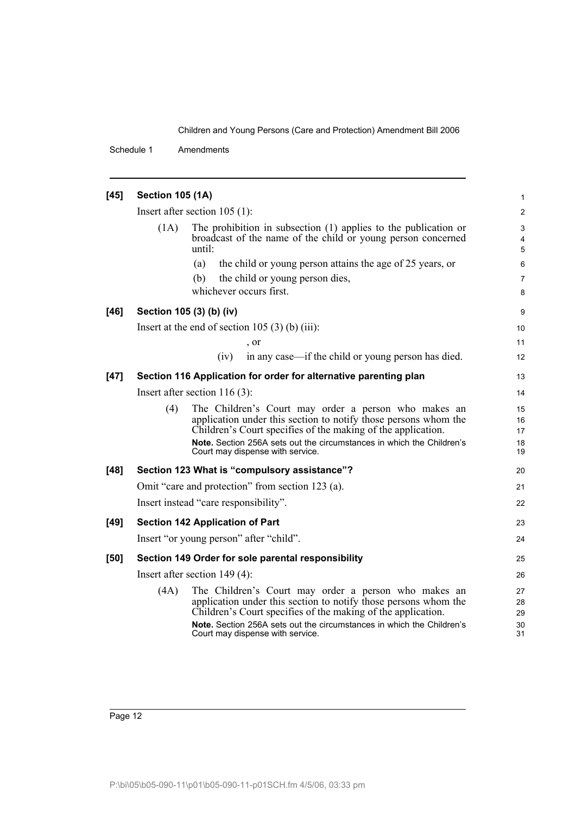| $[45]$ | <b>Section 105 (1A)</b>                |                                                                                                                                                                                                                                                                                                      | $\mathbf{1}$               |  |
|--------|----------------------------------------|------------------------------------------------------------------------------------------------------------------------------------------------------------------------------------------------------------------------------------------------------------------------------------------------------|----------------------------|--|
|        |                                        | Insert after section $105$ (1):                                                                                                                                                                                                                                                                      | $\overline{2}$             |  |
|        | (1A)                                   | The prohibition in subsection (1) applies to the publication or<br>broadcast of the name of the child or young person concerned<br>until:                                                                                                                                                            | 3<br>4<br>5                |  |
|        |                                        | the child or young person attains the age of 25 years, or<br>(a)                                                                                                                                                                                                                                     | 6                          |  |
|        |                                        | the child or young person dies,<br>(b)                                                                                                                                                                                                                                                               | 7                          |  |
|        |                                        | whichever occurs first.                                                                                                                                                                                                                                                                              | 8                          |  |
| $[46]$ |                                        | Section 105 (3) (b) (iv)                                                                                                                                                                                                                                                                             | 9                          |  |
|        |                                        | Insert at the end of section 105 $(3)$ (b) (iii):                                                                                                                                                                                                                                                    | 10                         |  |
|        |                                        | , or                                                                                                                                                                                                                                                                                                 | 11                         |  |
|        |                                        | in any case—if the child or young person has died.<br>(iv)                                                                                                                                                                                                                                           | 12                         |  |
| $[47]$ |                                        | Section 116 Application for order for alternative parenting plan                                                                                                                                                                                                                                     | 13                         |  |
|        |                                        | Insert after section $116(3)$ :                                                                                                                                                                                                                                                                      | 14                         |  |
|        | (4)                                    | The Children's Court may order a person who makes an<br>application under this section to notify those persons whom the<br>Children's Court specifies of the making of the application.<br>Note. Section 256A sets out the circumstances in which the Children's<br>Court may dispense with service. | 15<br>16<br>17<br>18<br>19 |  |
| $[48]$ |                                        | Section 123 What is "compulsory assistance"?                                                                                                                                                                                                                                                         | 20                         |  |
|        |                                        | Omit "care and protection" from section 123 (a).                                                                                                                                                                                                                                                     | 21                         |  |
|        |                                        | Insert instead "care responsibility".                                                                                                                                                                                                                                                                | 22                         |  |
| $[49]$ | <b>Section 142 Application of Part</b> |                                                                                                                                                                                                                                                                                                      |                            |  |
|        |                                        | Insert "or young person" after "child".                                                                                                                                                                                                                                                              | 24                         |  |
| [50]   |                                        | Section 149 Order for sole parental responsibility                                                                                                                                                                                                                                                   | 25                         |  |
|        |                                        | Insert after section $149(4)$ :                                                                                                                                                                                                                                                                      | 26                         |  |
|        | (4A)                                   | The Children's Court may order a person who makes an<br>application under this section to notify those persons whom the<br>Children's Court specifies of the making of the application.<br>Note. Section 256A sets out the circumstances in which the Children's<br>Court may dispense with service. | 27<br>28<br>29<br>30<br>31 |  |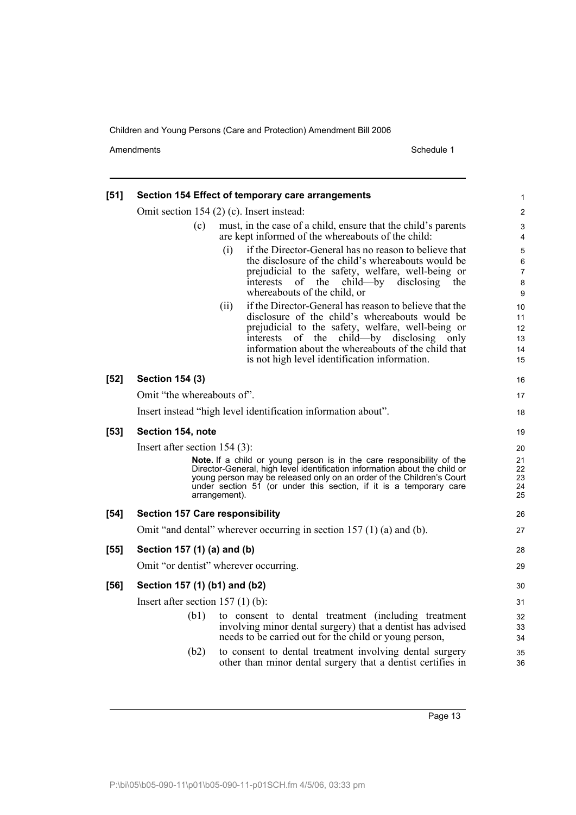Amendments Schedule 1

| $[51]$ | Section 154 Effect of temporary care arrangements                                                                                                                                                                                                                                                                          | 1                                |
|--------|----------------------------------------------------------------------------------------------------------------------------------------------------------------------------------------------------------------------------------------------------------------------------------------------------------------------------|----------------------------------|
|        | Omit section 154 (2) (c). Insert instead:                                                                                                                                                                                                                                                                                  | $\overline{\mathbf{c}}$          |
|        | must, in the case of a child, ensure that the child's parents<br>(c)<br>are kept informed of the whereabouts of the child:                                                                                                                                                                                                 | 3<br>4                           |
|        | if the Director-General has no reason to believe that<br>(i)<br>the disclosure of the child's whereabouts would be<br>prejudicial to the safety, welfare, well-being or<br>interests<br>of the<br>$child$ by<br>disclosing<br>the<br>whereabouts of the child, or                                                          | 5<br>6<br>7<br>8<br>9            |
|        | if the Director-General has reason to believe that the<br>(11)<br>disclosure of the child's whereabouts would be<br>prejudicial to the safety, welfare, well-being or<br>interests of the child—by disclosing only<br>information about the whereabouts of the child that<br>is not high level identification information. | 10<br>11<br>12<br>13<br>14<br>15 |
| $[52]$ | <b>Section 154 (3)</b>                                                                                                                                                                                                                                                                                                     | 16                               |
|        | Omit "the whereabouts of".                                                                                                                                                                                                                                                                                                 | 17                               |
|        | Insert instead "high level identification information about".                                                                                                                                                                                                                                                              | 18                               |
| [53]   | Section 154, note                                                                                                                                                                                                                                                                                                          | 19                               |
|        | Insert after section $154(3)$ :                                                                                                                                                                                                                                                                                            | 20                               |
|        | Note. If a child or young person is in the care responsibility of the<br>Director-General, high level identification information about the child or<br>young person may be released only on an order of the Children's Court<br>under section 51 (or under this section, if it is a temporary care<br>arrangement).        | 21<br>22<br>23<br>24<br>25       |
| $[54]$ | Section 157 Care responsibility                                                                                                                                                                                                                                                                                            | 26                               |
|        | Omit "and dental" wherever occurring in section 157 $(1)$ (a) and (b).                                                                                                                                                                                                                                                     | 27                               |
| [55]   | Section 157 (1) (a) and (b)                                                                                                                                                                                                                                                                                                | 28                               |
|        | Omit "or dentist" wherever occurring.                                                                                                                                                                                                                                                                                      | 29                               |
| $[56]$ | Section 157 (1) (b1) and (b2)                                                                                                                                                                                                                                                                                              | 30                               |
|        | Insert after section $157(1)(b)$ :                                                                                                                                                                                                                                                                                         | 31                               |
|        | (b1)<br>to consent to dental treatment (including treatment<br>involving minor dental surgery) that a dentist has advised<br>needs to be carried out for the child or young person,                                                                                                                                        | 32<br>33<br>34                   |
|        | to consent to dental treatment involving dental surgery<br>(b2)<br>other than minor dental surgery that a dentist certifies in                                                                                                                                                                                             | 35<br>36                         |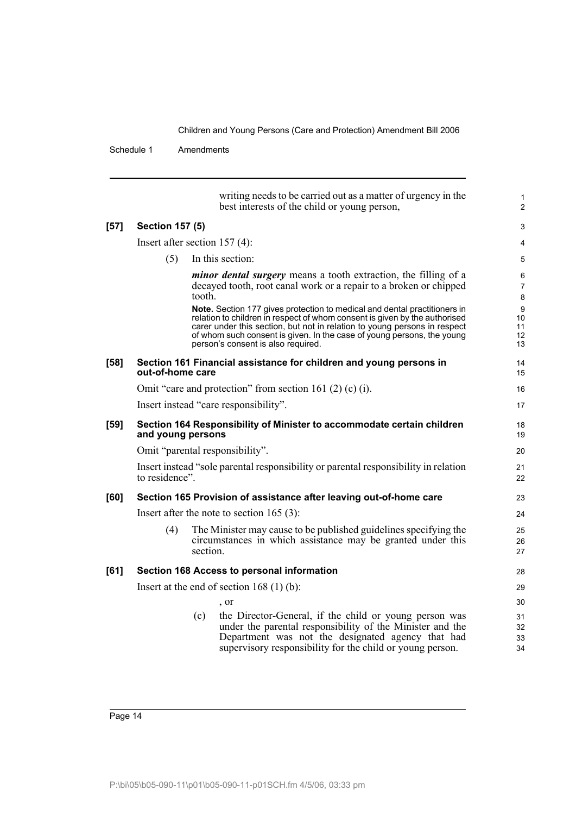Schedule 1 Amendments

writing needs to be carried out as a matter of urgency in the best interests of the child or young person, **[57] Section 157 (5)** Insert after section 157 (4): (5) In this section:

1  $\overline{2}$ 

*minor dental surgery* means a tooth extraction, the filling of a decayed tooth, root canal work or a repair to a broken or chipped tooth.

**Note.** Section 177 gives protection to medical and dental practitioners in relation to children in respect of whom consent is given by the authorised carer under this section, but not in relation to young persons in respect of whom such consent is given. In the case of young persons, the young person's consent is also required.

| [58] | Section 161 Financial assistance for children and young persons in<br>out-of-home care |  |  |  |  |  |
|------|----------------------------------------------------------------------------------------|--|--|--|--|--|
|      | Omit "care and protection" from section 161 (2) (c) (i).                               |  |  |  |  |  |

Insert instead "care responsibility".

#### **[59] Section 164 Responsibility of Minister to accommodate certain children and young persons**

Omit "parental responsibility".

Insert instead "sole parental responsibility or parental responsibility in relation to residence".

#### **[60] Section 165 Provision of assistance after leaving out-of-home care**

Insert after the note to section 165 (3):

(4) The Minister may cause to be published guidelines specifying the circumstances in which assistance may be granted under this section.

#### **[61] Section 168 Access to personal information**

Insert at the end of section 168 (1) (b):

- , or
- (c) the Director-General, if the child or young person was under the parental responsibility of the Minister and the Department was not the designated agency that had supervisory responsibility for the child or young person.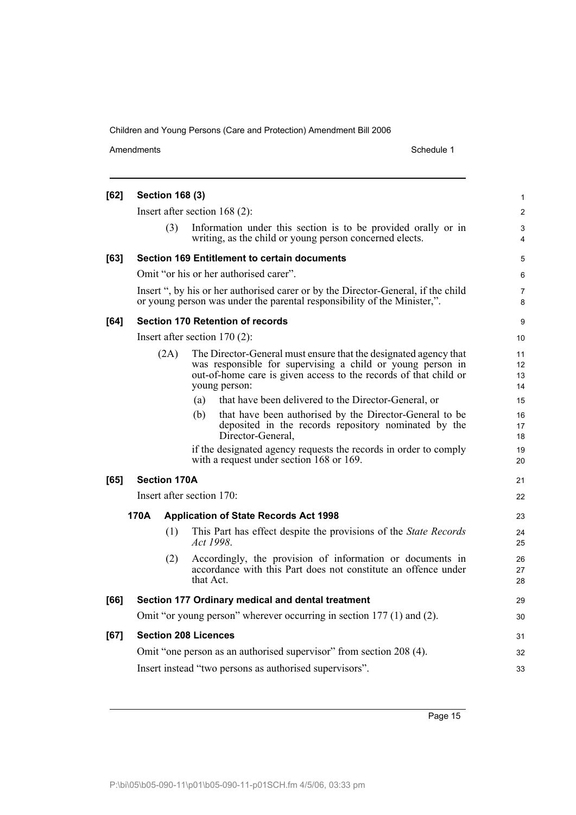Amendments Schedule 1

| [62] | <b>Section 168 (3)</b> |                                                                                                                                                                                                                     |  |
|------|------------------------|---------------------------------------------------------------------------------------------------------------------------------------------------------------------------------------------------------------------|--|
|      |                        | Insert after section $168(2)$ :                                                                                                                                                                                     |  |
|      | (3)                    | Information under this section is to be provided orally or in<br>writing, as the child or young person concerned elects.                                                                                            |  |
| [63] |                        | <b>Section 169 Entitlement to certain documents</b>                                                                                                                                                                 |  |
|      |                        | Omit "or his or her authorised carer".                                                                                                                                                                              |  |
|      |                        | Insert ", by his or her authorised carer or by the Director-General, if the child<br>or young person was under the parental responsibility of the Minister,".                                                       |  |
| [64] |                        | <b>Section 170 Retention of records</b>                                                                                                                                                                             |  |
|      |                        | Insert after section $170(2)$ :                                                                                                                                                                                     |  |
|      | (2A)                   | The Director-General must ensure that the designated agency that<br>was responsible for supervising a child or young person in<br>out-of-home care is given access to the records of that child or<br>young person: |  |
|      |                        | that have been delivered to the Director-General, or<br>(a)                                                                                                                                                         |  |
|      |                        | that have been authorised by the Director-General to be<br>(b)<br>deposited in the records repository nominated by the<br>Director-General,                                                                         |  |
|      |                        | if the designated agency requests the records in order to comply<br>with a request under section 168 or 169.                                                                                                        |  |
| [65] | <b>Section 170A</b>    |                                                                                                                                                                                                                     |  |
|      |                        | Insert after section 170:                                                                                                                                                                                           |  |
|      | 170A                   | <b>Application of State Records Act 1998</b>                                                                                                                                                                        |  |
|      | (1)                    | This Part has effect despite the provisions of the <i>State Records</i><br>Act 1998.                                                                                                                                |  |
|      | (2)                    | Accordingly, the provision of information or documents in<br>accordance with this Part does not constitute an offence under<br>that Act.                                                                            |  |
| [66] |                        | Section 177 Ordinary medical and dental treatment                                                                                                                                                                   |  |
|      |                        | Omit "or young person" wherever occurring in section 177 (1) and (2).                                                                                                                                               |  |
| [67] |                        | <b>Section 208 Licences</b>                                                                                                                                                                                         |  |
|      |                        | Omit "one person as an authorised supervisor" from section 208 (4).                                                                                                                                                 |  |
|      |                        | Insert instead "two persons as authorised supervisors".                                                                                                                                                             |  |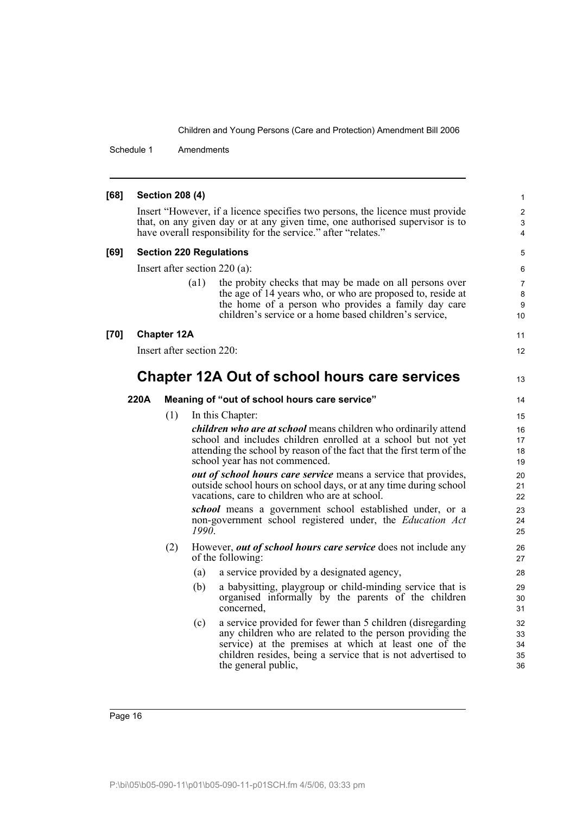Schedule 1 Amendments

| [68]   |      | <b>Section 208 (4)</b> |                           |                                                                                                                                                                                                                                        | $\mathbf{1}$      |
|--------|------|------------------------|---------------------------|----------------------------------------------------------------------------------------------------------------------------------------------------------------------------------------------------------------------------------------|-------------------|
|        |      |                        |                           | Insert "However, if a licence specifies two persons, the licence must provide<br>that, on any given day or at any given time, one authorised supervisor is to<br>have overall responsibility for the service." after "relates."        | 2<br>3<br>4       |
| [69]   |      |                        |                           | <b>Section 220 Regulations</b>                                                                                                                                                                                                         | 5                 |
|        |      |                        |                           | Insert after section $220$ (a):                                                                                                                                                                                                        | 6                 |
|        |      |                        | $\left( a1\right)$        | the probity checks that may be made on all persons over<br>the age of 14 years who, or who are proposed to, reside at<br>the home of a person who provides a family day care<br>children's service or a home based children's service, | 7<br>8<br>9<br>10 |
| $[70]$ |      | <b>Chapter 12A</b>     |                           |                                                                                                                                                                                                                                        | 11                |
|        |      |                        | Insert after section 220: |                                                                                                                                                                                                                                        | 12                |
|        |      |                        |                           | Chapter 12A Out of school hours care services                                                                                                                                                                                          | 13                |
|        | 220A |                        |                           | Meaning of "out of school hours care service"                                                                                                                                                                                          | 14                |
|        |      | (1)                    |                           | In this Chapter:                                                                                                                                                                                                                       | 15                |
|        |      |                        |                           | <i>children who are at school</i> means children who ordinarily attend                                                                                                                                                                 | 16                |
|        |      |                        |                           | school and includes children enrolled at a school but not yet<br>attending the school by reason of the fact that the first term of the                                                                                                 | $17\,$<br>18      |
|        |      |                        |                           | school year has not commenced.                                                                                                                                                                                                         | 19                |
|        |      |                        |                           | out of school hours care service means a service that provides,                                                                                                                                                                        | 20                |
|        |      |                        |                           | outside school hours on school days, or at any time during school                                                                                                                                                                      | 21                |
|        |      |                        |                           | vacations, care to children who are at school.                                                                                                                                                                                         | 22                |
|        |      |                        |                           | school means a government school established under, or a<br>non-government school registered under, the Education Act                                                                                                                  | 23<br>24          |
|        |      |                        | 1990.                     |                                                                                                                                                                                                                                        | 25                |
|        |      | (2)                    |                           | However, <i>out of school hours care service</i> does not include any<br>of the following:                                                                                                                                             | 26<br>27          |
|        |      |                        | (a)                       | a service provided by a designated agency,                                                                                                                                                                                             | 28                |
|        |      |                        | (b)                       | a babysitting, playgroup or child-minding service that is<br>organised informally by the parents of the children<br>concerned.                                                                                                         | 29<br>30<br>31    |
|        |      |                        | (c)                       | a service provided for fewer than 5 children (disregarding                                                                                                                                                                             | 32                |
|        |      |                        |                           | any children who are related to the person providing the                                                                                                                                                                               | 33                |
|        |      |                        |                           | service) at the premises at which at least one of the<br>children resides, being a service that is not advertised to                                                                                                                   | 34<br>35          |
|        |      |                        |                           | the general public,                                                                                                                                                                                                                    | 36                |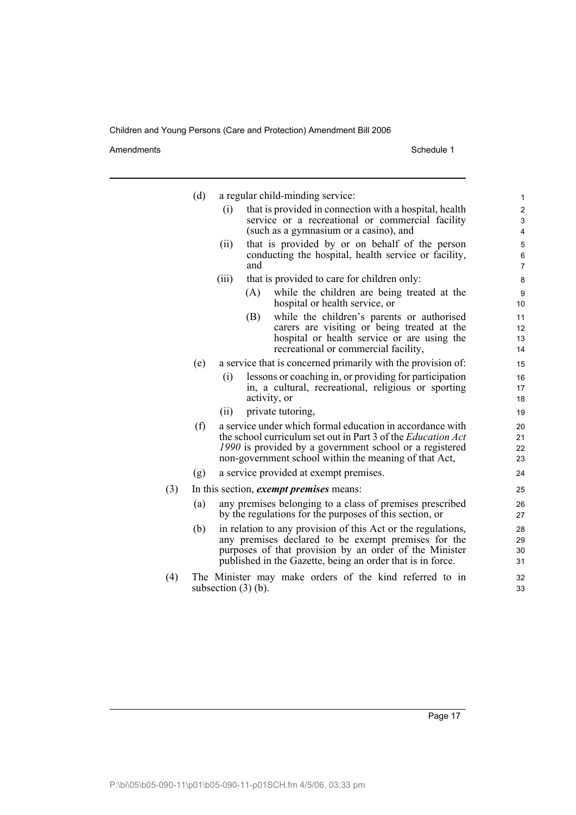Amendments Schedule 1

|     | (d) |                       |              | a regular child-minding service:                                                                                               | $\mathbf{1}$        |
|-----|-----|-----------------------|--------------|--------------------------------------------------------------------------------------------------------------------------------|---------------------|
|     |     | (i)                   |              | that is provided in connection with a hospital, health                                                                         | 2                   |
|     |     |                       |              | service or a recreational or commercial facility                                                                               | 3                   |
|     |     |                       |              | (such as a gymnasium or a casino), and                                                                                         | 4                   |
|     |     | (ii)                  |              | that is provided by or on behalf of the person                                                                                 | 5                   |
|     |     |                       | and          | conducting the hospital, health service or facility,                                                                           | 6<br>$\overline{7}$ |
|     |     | (iii)                 |              | that is provided to care for children only:                                                                                    | 8                   |
|     |     |                       | (A)          | while the children are being treated at the                                                                                    | 9                   |
|     |     |                       |              | hospital or health service, or                                                                                                 | 10                  |
|     |     |                       | (B)          | while the children's parents or authorised                                                                                     | 11                  |
|     |     |                       |              | carers are visiting or being treated at the                                                                                    | 12                  |
|     |     |                       |              | hospital or health service or are using the                                                                                    | 13                  |
|     |     |                       |              | recreational or commercial facility,                                                                                           | 14                  |
|     | (e) |                       |              | a service that is concerned primarily with the provision of:                                                                   | 15                  |
|     |     | (i)                   |              | lessons or coaching in, or providing for participation                                                                         | 16                  |
|     |     |                       |              | in, a cultural, recreational, religious or sporting                                                                            | 17                  |
|     |     |                       | activity, or |                                                                                                                                | 18                  |
|     |     | (i)                   |              | private tutoring,                                                                                                              | 19                  |
|     | (f) |                       |              | a service under which formal education in accordance with                                                                      | 20                  |
|     |     |                       |              | the school curriculum set out in Part 3 of the <i>Education Act</i><br>1990 is provided by a government school or a registered | 21<br>22            |
|     |     |                       |              | non-government school within the meaning of that Act,                                                                          | 23                  |
|     | (g) |                       |              | a service provided at exempt premises.                                                                                         | 24                  |
| (3) |     |                       |              |                                                                                                                                |                     |
|     |     |                       |              | In this section, <i>exempt premises</i> means:                                                                                 | 25                  |
|     | (a) |                       |              | any premises belonging to a class of premises prescribed<br>by the regulations for the purposes of this section, or            | 26<br>27            |
|     | (b) |                       |              | in relation to any provision of this Act or the regulations,                                                                   | 28                  |
|     |     |                       |              | any premises declared to be exempt premises for the                                                                            | 29                  |
|     |     |                       |              | purposes of that provision by an order of the Minister<br>published in the Gazette, being an order that is in force.           | 30<br>31            |
|     |     |                       |              |                                                                                                                                |                     |
| (4) |     |                       |              | The Minister may make orders of the kind referred to in                                                                        | 32                  |
|     |     | subsection $(3)$ (b). |              |                                                                                                                                | 33                  |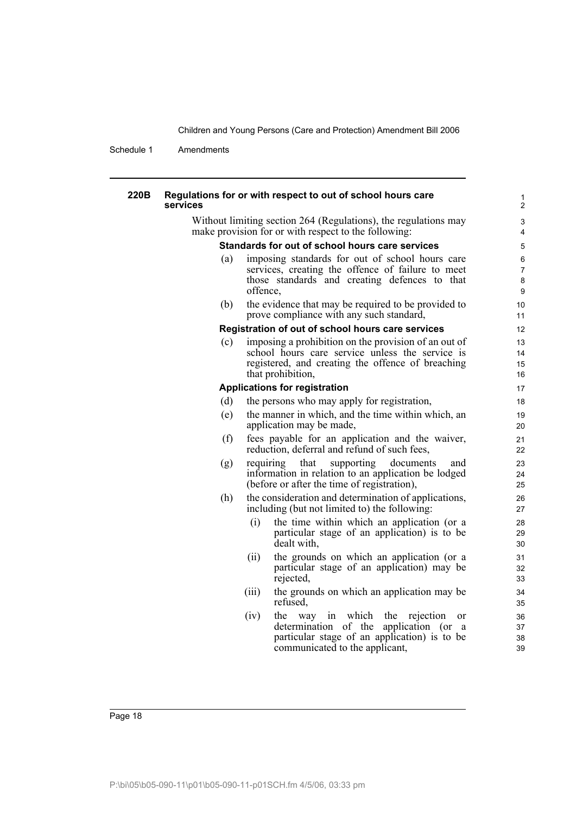Schedule 1 Amendments

#### **220B Regulations for or with respect to out of school hours care services**

Without limiting section 264 (Regulations), the regulations may make provision for or with respect to the following:

#### **Standards for out of school hours care services**

| (a) | imposing standards for out of school hours care<br>services, creating the offence of failure to meet<br>those standards and creating defences to that<br>offence,                                                                 |
|-----|-----------------------------------------------------------------------------------------------------------------------------------------------------------------------------------------------------------------------------------|
|     |                                                                                                                                                                                                                                   |
|     | $\mathcal{A}$ , and the set of the set of the set of the set of the set of the set of the set of the set of the set of the set of the set of the set of the set of the set of the set of the set of the set of the set of the set |

(b) the evidence that may be required to be provided to prove compliance with any such standard,

#### **Registration of out of school hours care services**

(c) imposing a prohibition on the provision of an out of school hours care service unless the service is registered, and creating the offence of breaching that prohibition,

#### **Applications for registration**

- (d) the persons who may apply for registration,
- (e) the manner in which, and the time within which, an application may be made,
- (f) fees payable for an application and the waiver, reduction, deferral and refund of such fees,
- (g) requiring that supporting documents and information in relation to an application be lodged (before or after the time of registration),
- (h) the consideration and determination of applications, including (but not limited to) the following:
	- (i) the time within which an application (or a particular stage of an application) is to be dealt with,
	- (ii) the grounds on which an application (or a particular stage of an application) may be rejected,
	- (iii) the grounds on which an application may be refused,
	- (iv) the way in which the rejection or determination of the application (or a particular stage of an application) is to be communicated to the applicant,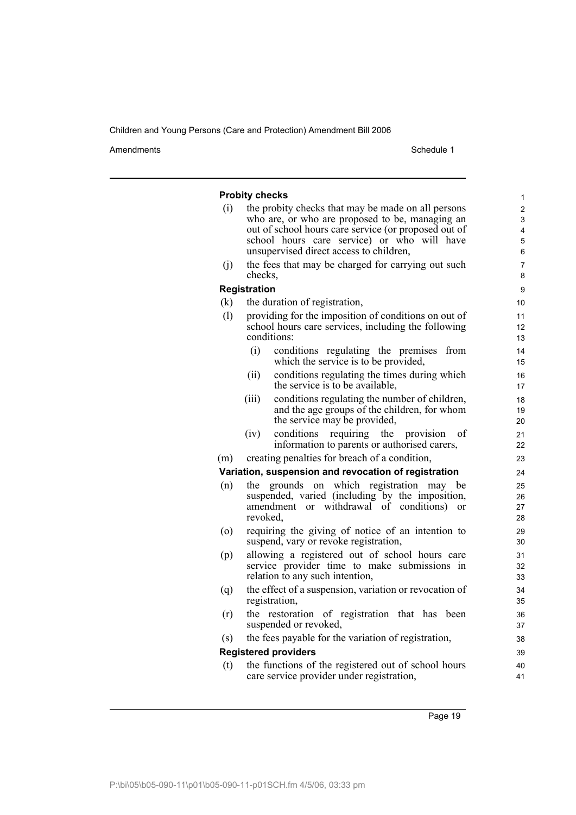Amendments Schedule 1

|                    | <b>Probity checks</b>                                                                           | 1        |
|--------------------|-------------------------------------------------------------------------------------------------|----------|
| (i)                | the probity checks that may be made on all persons                                              | 2        |
|                    | who are, or who are proposed to be, managing an                                                 | 3        |
|                    | out of school hours care service (or proposed out of                                            | 4        |
|                    | school hours care service) or who will have                                                     | 5        |
|                    | unsupervised direct access to children,                                                         | 6        |
| (j)                | the fees that may be charged for carrying out such                                              | 7        |
|                    | checks.                                                                                         | 8        |
|                    | <b>Registration</b>                                                                             | 9        |
| (k)                | the duration of registration,                                                                   | 10       |
| (1)                | providing for the imposition of conditions on out of                                            | 11       |
|                    | school hours care services, including the following<br>conditions:                              | 12       |
|                    |                                                                                                 | 13       |
|                    | (i)<br>conditions regulating the premises from<br>which the service is to be provided,          | 14<br>15 |
|                    | conditions regulating the times during which<br>(ii)                                            | 16       |
|                    | the service is to be available,                                                                 | 17       |
|                    | conditions regulating the number of children,<br>(iii)                                          | 18       |
|                    | and the age groups of the children, for whom                                                    | 19       |
|                    | the service may be provided,                                                                    | 20       |
|                    | conditions requiring the provision<br>(iv)<br>0ſ                                                | 21       |
|                    | information to parents or authorised carers,                                                    | 22       |
| (m)                | creating penalties for breach of a condition,                                                   | 23       |
|                    | Variation, suspension and revocation of registration                                            | 24       |
| (n)                | grounds on which registration may be<br>the                                                     | 25       |
|                    | suspended, varied (including by the imposition,<br>amendment or withdrawal of conditions)<br>or | 26<br>27 |
|                    | revoked,                                                                                        | 28       |
| $\left( 0 \right)$ | requiring the giving of notice of an intention to                                               | 29       |
|                    | suspend, vary or revoke registration,                                                           | 30       |
| (p)                | allowing a registered out of school hours care                                                  | 31       |
|                    | service provider time to make submissions in                                                    | 32       |
|                    | relation to any such intention,                                                                 | 33       |
| (q)                | the effect of a suspension, variation or revocation of<br>registration,                         | 34<br>35 |
| (r)                | the restoration of registration that has been                                                   | 36       |
|                    | suspended or revoked,                                                                           | 37       |
| (s)                | the fees payable for the variation of registration,                                             | 38       |
|                    | <b>Registered providers</b>                                                                     | 39       |
| (t)                | the functions of the registered out of school hours                                             | 40       |
|                    | care service provider under registration,                                                       | 41       |
|                    |                                                                                                 |          |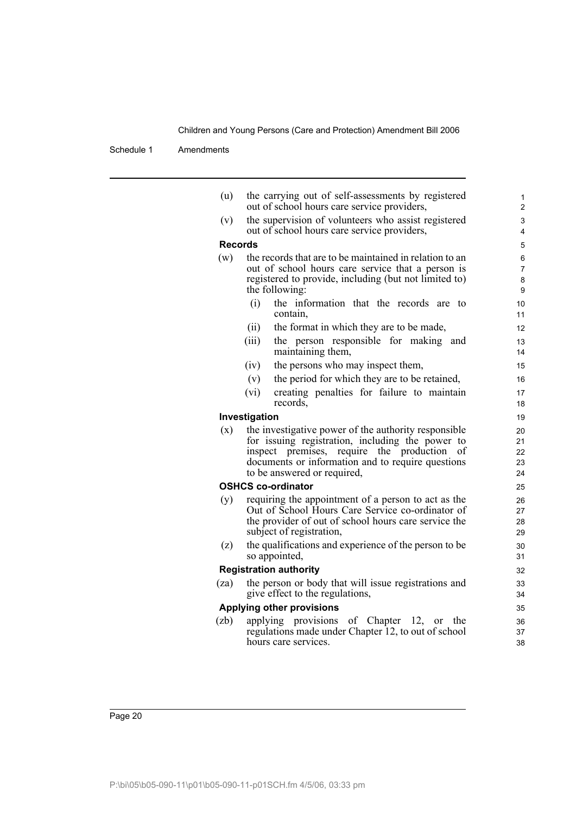#### Schedule 1 Amendments

| (u)  | the carrying out of self-assessments by registered<br>out of school hours care service providers,                                                                                                                                                     |
|------|-------------------------------------------------------------------------------------------------------------------------------------------------------------------------------------------------------------------------------------------------------|
| (v)  | the supervision of volunteers who assist registered<br>out of school hours care service providers,                                                                                                                                                    |
|      | <b>Records</b>                                                                                                                                                                                                                                        |
| (w)  | the records that are to be maintained in relation to an<br>out of school hours care service that a person is<br>registered to provide, including (but not limited to)<br>the following:<br>(i)<br>the information that the records are to<br>contain. |
|      | (ii)<br>the format in which they are to be made,                                                                                                                                                                                                      |
|      | (iii)<br>the person responsible for making and<br>maintaining them,                                                                                                                                                                                   |
|      | the persons who may inspect them,<br>(iv)                                                                                                                                                                                                             |
|      | (v)<br>the period for which they are to be retained,                                                                                                                                                                                                  |
|      | creating penalties for failure to maintain<br>(vi)<br>records.                                                                                                                                                                                        |
|      | Investigation                                                                                                                                                                                                                                         |
| (x)  | the investigative power of the authority responsible<br>for issuing registration, including the power to<br>inspect premises, require the production<br>of<br>documents or information and to require questions<br>to be answered or required,        |
|      | <b>OSHCS co-ordinator</b>                                                                                                                                                                                                                             |
| (y)  | requiring the appointment of a person to act as the<br>Out of School Hours Care Service co-ordinator of<br>the provider of out of school hours care service the<br>subject of registration,                                                           |
| (z)  | the qualifications and experience of the person to be<br>so appointed,                                                                                                                                                                                |
|      | <b>Registration authority</b>                                                                                                                                                                                                                         |
| (za) | the person or body that will issue registrations and<br>give effect to the regulations,                                                                                                                                                               |
|      | <b>Applying other provisions</b>                                                                                                                                                                                                                      |
| (zb) | applying provisions of Chapter 12, or the<br>regulations made under Chapter 12, to out of school<br>hours care services.                                                                                                                              |
|      |                                                                                                                                                                                                                                                       |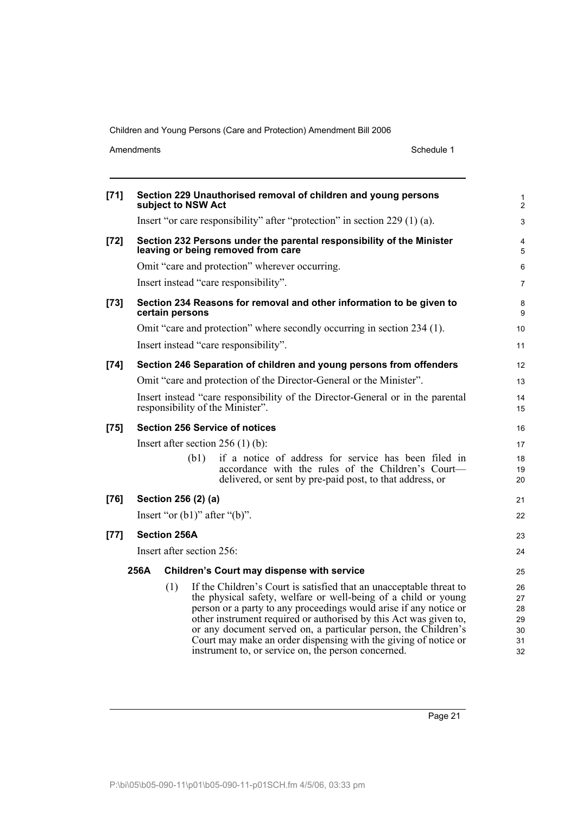Schedule 1

| $[71]$ |      |                           |      | Section 229 Unauthorised removal of children and young persons                                                                                                                                                                                                                                                                                                                                                                                                              | 1                                      |
|--------|------|---------------------------|------|-----------------------------------------------------------------------------------------------------------------------------------------------------------------------------------------------------------------------------------------------------------------------------------------------------------------------------------------------------------------------------------------------------------------------------------------------------------------------------|----------------------------------------|
|        |      | subject to NSW Act        |      |                                                                                                                                                                                                                                                                                                                                                                                                                                                                             | $\overline{2}$                         |
|        |      |                           |      | Insert "or care responsibility" after "protection" in section 229 (1) (a).                                                                                                                                                                                                                                                                                                                                                                                                  | 3                                      |
| $[72]$ |      |                           |      | Section 232 Persons under the parental responsibility of the Minister<br>leaving or being removed from care                                                                                                                                                                                                                                                                                                                                                                 | 4<br>5                                 |
|        |      |                           |      | Omit "care and protection" wherever occurring.                                                                                                                                                                                                                                                                                                                                                                                                                              | 6                                      |
|        |      |                           |      | Insert instead "care responsibility".                                                                                                                                                                                                                                                                                                                                                                                                                                       | $\overline{7}$                         |
| $[73]$ |      | certain persons           |      | Section 234 Reasons for removal and other information to be given to                                                                                                                                                                                                                                                                                                                                                                                                        | 8<br>9                                 |
|        |      |                           |      | Omit "care and protection" where secondly occurring in section 234 (1).                                                                                                                                                                                                                                                                                                                                                                                                     | 10 <sup>°</sup>                        |
|        |      |                           |      | Insert instead "care responsibility".                                                                                                                                                                                                                                                                                                                                                                                                                                       | 11                                     |
| $[74]$ |      |                           |      | Section 246 Separation of children and young persons from offenders                                                                                                                                                                                                                                                                                                                                                                                                         | 12 <sup>°</sup>                        |
|        |      |                           |      | Omit "care and protection of the Director-General or the Minister".                                                                                                                                                                                                                                                                                                                                                                                                         | 13                                     |
|        |      |                           |      | Insert instead "care responsibility of the Director-General or in the parental<br>responsibility of the Minister".                                                                                                                                                                                                                                                                                                                                                          | 14<br>15                               |
| $[75]$ |      |                           |      | <b>Section 256 Service of notices</b>                                                                                                                                                                                                                                                                                                                                                                                                                                       | 16                                     |
|        |      |                           |      | Insert after section $256(1)(b)$ :                                                                                                                                                                                                                                                                                                                                                                                                                                          | 17                                     |
|        |      |                           | (b1) | if a notice of address for service has been filed in<br>accordance with the rules of the Children's Court-<br>delivered, or sent by pre-paid post, to that address, or                                                                                                                                                                                                                                                                                                      | 18<br>19<br>20                         |
| $[76]$ |      | Section 256 (2) (a)       |      |                                                                                                                                                                                                                                                                                                                                                                                                                                                                             | 21                                     |
|        |      |                           |      | Insert "or $(b1)$ " after " $(b)$ ".                                                                                                                                                                                                                                                                                                                                                                                                                                        | 22                                     |
| $[77]$ |      | <b>Section 256A</b>       |      |                                                                                                                                                                                                                                                                                                                                                                                                                                                                             | 23                                     |
|        |      | Insert after section 256: |      |                                                                                                                                                                                                                                                                                                                                                                                                                                                                             | 24                                     |
|        | 256A |                           |      | Children's Court may dispense with service                                                                                                                                                                                                                                                                                                                                                                                                                                  | 25                                     |
|        |      | (1)                       |      | If the Children's Court is satisfied that an unacceptable threat to<br>the physical safety, welfare or well-being of a child or young<br>person or a party to any proceedings would arise if any notice or<br>other instrument required or authorised by this Act was given to,<br>or any document served on, a particular person, the Children's<br>Court may make an order dispensing with the giving of notice or<br>instrument to, or service on, the person concerned. | 26<br>27<br>28<br>29<br>30<br>31<br>32 |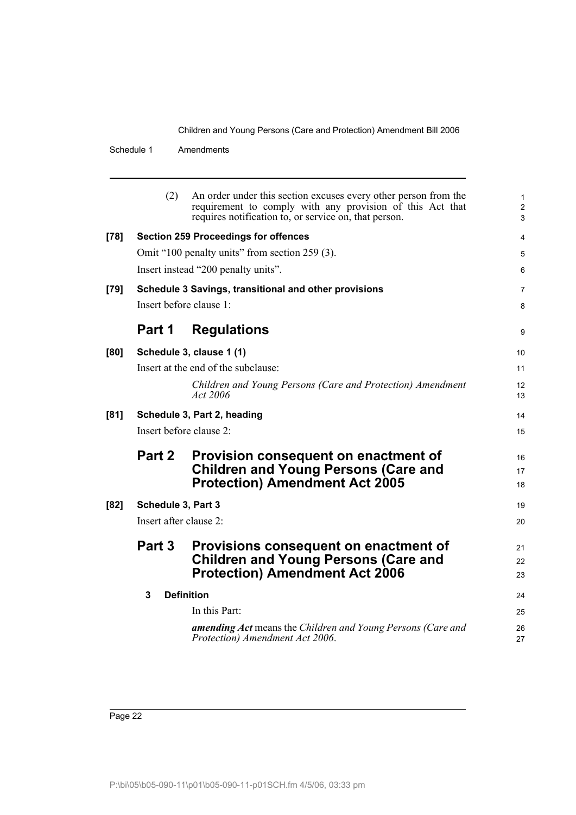|      | (2)                     | An order under this section excuses every other person from the<br>requirement to comply with any provision of this Act that<br>requires notification to, or service on, that person. | 1<br>$\overline{\mathbf{c}}$<br>3 |
|------|-------------------------|---------------------------------------------------------------------------------------------------------------------------------------------------------------------------------------|-----------------------------------|
| [78] |                         | <b>Section 259 Proceedings for offences</b>                                                                                                                                           | 4                                 |
|      |                         | Omit "100 penalty units" from section 259 (3).                                                                                                                                        | 5                                 |
|      |                         | Insert instead "200 penalty units".                                                                                                                                                   | 6                                 |
| [79] |                         | Schedule 3 Savings, transitional and other provisions                                                                                                                                 | 7                                 |
|      |                         | Insert before clause 1:                                                                                                                                                               | 8                                 |
|      | Part 1                  | <b>Regulations</b>                                                                                                                                                                    | 9                                 |
| [80] |                         | Schedule 3, clause 1 (1)                                                                                                                                                              | 10                                |
|      |                         | Insert at the end of the subclause:                                                                                                                                                   | 11                                |
|      |                         | Children and Young Persons (Care and Protection) Amendment<br>Act $2006$                                                                                                              | 12<br>13                          |
| [81] |                         | Schedule 3, Part 2, heading                                                                                                                                                           | 14                                |
|      | Insert before clause 2: |                                                                                                                                                                                       | 15                                |
|      | Part 2                  | Provision consequent on enactment of<br><b>Children and Young Persons (Care and</b><br><b>Protection) Amendment Act 2005</b>                                                          | 16<br>17<br>18                    |
| [82] | Schedule 3, Part 3      |                                                                                                                                                                                       | 19                                |
|      | Insert after clause 2:  |                                                                                                                                                                                       | 20                                |
|      | Part 3                  | Provisions consequent on enactment of<br><b>Children and Young Persons (Care and</b><br><b>Protection) Amendment Act 2006</b>                                                         | 21<br>22<br>23                    |
|      | 3                       | <b>Definition</b>                                                                                                                                                                     | 24                                |
|      |                         | In this Part:                                                                                                                                                                         | 25                                |
|      |                         | <b>amending Act means the Children and Young Persons (Care and</b><br>Protection) Amendment Act 2006.                                                                                 | 26<br>27                          |
|      |                         |                                                                                                                                                                                       |                                   |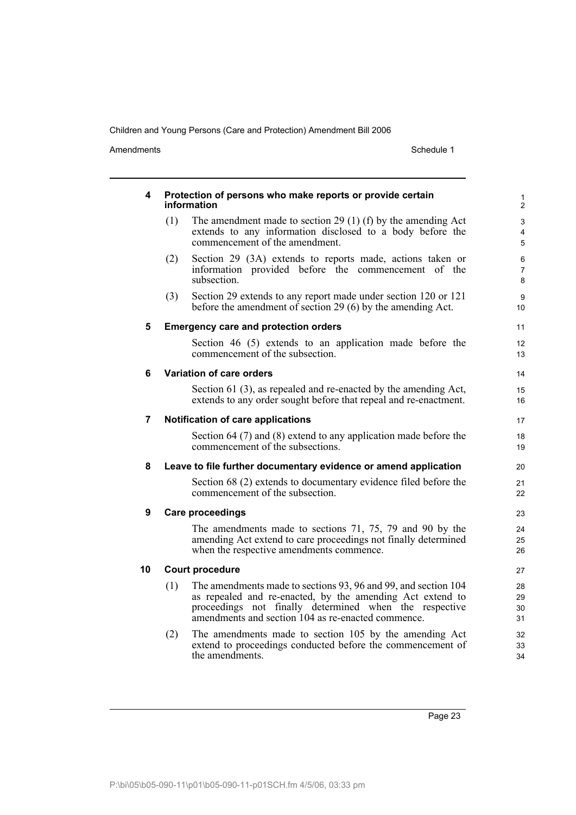Amendments Schedule 1

| 4  |     | Protection of persons who make reports or provide certain<br>information                                                                                                                                                                    | $\mathbf{1}$<br>$\overline{2}$ |
|----|-----|---------------------------------------------------------------------------------------------------------------------------------------------------------------------------------------------------------------------------------------------|--------------------------------|
|    | (1) | The amendment made to section 29 $(1)$ (f) by the amending Act<br>extends to any information disclosed to a body before the<br>commencement of the amendment.                                                                               | 3<br>4<br>5                    |
|    | (2) | Section 29 (3A) extends to reports made, actions taken or<br>information provided before the commencement of the<br>subsection.                                                                                                             | 6<br>7<br>8                    |
|    | (3) | Section 29 extends to any report made under section 120 or 121<br>before the amendment of section 29 (6) by the amending Act.                                                                                                               | 9<br>10                        |
| 5  |     | <b>Emergency care and protection orders</b>                                                                                                                                                                                                 | 11                             |
|    |     | Section 46 (5) extends to an application made before the<br>commencement of the subsection.                                                                                                                                                 | 12<br>13                       |
| 6  |     | Variation of care orders                                                                                                                                                                                                                    | 14                             |
|    |     | Section 61 (3), as repealed and re-enacted by the amending Act,<br>extends to any order sought before that repeal and re-enactment.                                                                                                         | 15<br>16                       |
| 7  |     | <b>Notification of care applications</b>                                                                                                                                                                                                    | 17                             |
|    |     | Section 64 $(7)$ and $(8)$ extend to any application made before the<br>commencement of the subsections.                                                                                                                                    | 18<br>19                       |
| 8  |     | Leave to file further documentary evidence or amend application                                                                                                                                                                             | 20                             |
|    |     | Section 68 (2) extends to documentary evidence filed before the<br>commencement of the subsection.                                                                                                                                          | 21<br>22                       |
| 9  |     | <b>Care proceedings</b>                                                                                                                                                                                                                     | 23                             |
|    |     | The amendments made to sections 71, 75, 79 and 90 by the<br>amending Act extend to care proceedings not finally determined<br>when the respective amendments commence.                                                                      | 24<br>25<br>26                 |
| 10 |     | <b>Court procedure</b>                                                                                                                                                                                                                      | 27                             |
|    | (1) | The amendments made to sections 93, 96 and 99, and section 104<br>as repealed and re-enacted, by the amending Act extend to<br>proceedings not finally determined when the respective<br>amendments and section 104 as re-enacted commence. | 28<br>29<br>30<br>31           |
|    | (2) | The amendments made to section 105 by the amending Act<br>extend to proceedings conducted before the commencement of<br>the amendments.                                                                                                     | 32<br>33<br>34                 |
|    |     |                                                                                                                                                                                                                                             |                                |